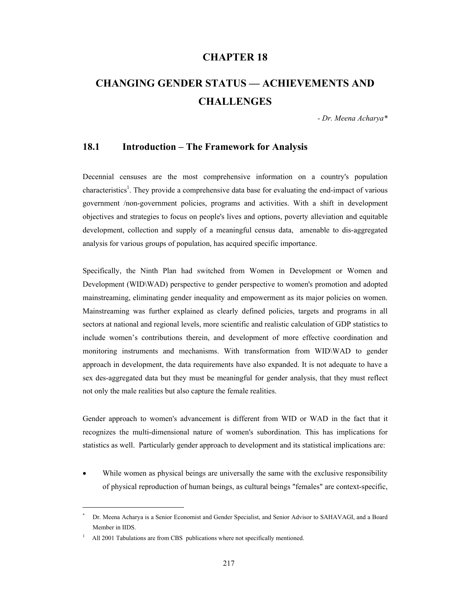# **CHAPTER 18**

# **CHANGING GENDER STATUS — ACHIEVEMENTS AND CHALLENGES**

*- Dr. Meena Acharya\** 

#### **18.1 Introduction – The Framework for Analysis**

Decennial censuses are the most comprehensive information on a country's population characteristics<sup>1</sup>. They provide a comprehensive data base for evaluating the end-impact of various government /non-government policies, programs and activities. With a shift in development objectives and strategies to focus on people's lives and options, poverty alleviation and equitable development, collection and supply of a meaningful census data, amenable to dis-aggregated analysis for various groups of population, has acquired specific importance.

Specifically, the Ninth Plan had switched from Women in Development or Women and Development (WID\WAD) perspective to gender perspective to women's promotion and adopted mainstreaming, eliminating gender inequality and empowerment as its major policies on women. Mainstreaming was further explained as clearly defined policies, targets and programs in all sectors at national and regional levels, more scientific and realistic calculation of GDP statistics to include women's contributions therein, and development of more effective coordination and monitoring instruments and mechanisms. With transformation from WID\WAD to gender approach in development, the data requirements have also expanded. It is not adequate to have a sex des-aggregated data but they must be meaningful for gender analysis, that they must reflect not only the male realities but also capture the female realities.

Gender approach to women's advancement is different from WID or WAD in the fact that it recognizes the multi-dimensional nature of women's subordination. This has implications for statistics as well. Particularly gender approach to development and its statistical implications are:

While women as physical beings are universally the same with the exclusive responsibility of physical reproduction of human beings, as cultural beings "females" are context-specific,

l

<sup>\*</sup> Dr. Meena Acharya is a Senior Economist and Gender Specialist, and Senior Advisor to SAHAVAGI, and a Board Member in IIDS.

<sup>1</sup> All 2001 Tabulations are from CBS publications where not specifically mentioned.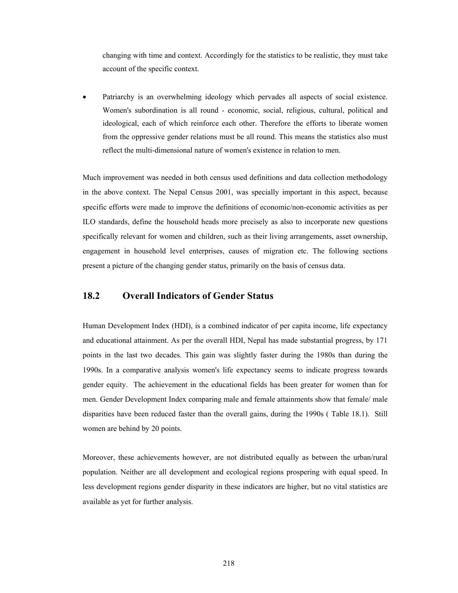changing with time and context. Accordingly for the statistics to be realistic, they must take account of the specific context.

• Patriarchy is an overwhelming ideology which pervades all aspects of social existence. Women's subordination is all round - economic, social, religious, cultural, political and ideological, each of which reinforce each other. Therefore the efforts to liberate women from the oppressive gender relations must be all round. This means the statistics also must reflect the multi-dimensional nature of women's existence in relation to men.

Much improvement was needed in both census used definitions and data collection methodology in the above context. The Nepal Census 2001, was specially important in this aspect, because specific efforts were made to improve the definitions of economic/non-economic activities as per ILO standards, define the household heads more precisely as also to incorporate new questions specifically relevant for women and children, such as their living arrangements, asset ownership, engagement in household level enterprises, causes of migration etc. The following sections present a picture of the changing gender status, primarily on the basis of census data.

# **18.2 Overall Indicators of Gender Status**

Human Development Index (HDI), is a combined indicator of per capita income, life expectancy and educational attainment. As per the overall HDI, Nepal has made substantial progress, by 171 points in the last two decades. This gain was slightly faster during the 1980s than during the 1990s. In a comparative analysis women's life expectancy seems to indicate progress towards gender equity. The achievement in the educational fields has been greater for women than for men. Gender Development Index comparing male and female attainments show that female/ male disparities have been reduced faster than the overall gains, during the 1990s ( Table 18.1). Still women are behind by 20 points.

Moreover, these achievements however, are not distributed equally as between the urban/rural population. Neither are all development and ecological regions prospering with equal speed. In less development regions gender disparity in these indicators are higher, but no vital statistics are available as yet for further analysis.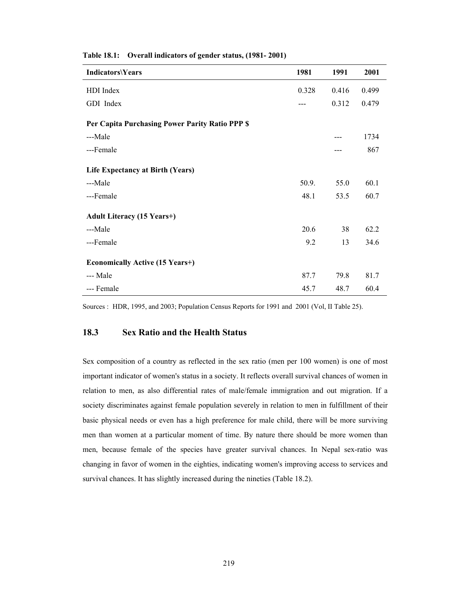| <b>Indicators\Years</b>                         | 1981  | 1991  | 2001  |
|-------------------------------------------------|-------|-------|-------|
| HDI Index                                       | 0.328 | 0.416 | 0.499 |
| GDI Index                                       |       | 0.312 | 0.479 |
| Per Capita Purchasing Power Parity Ratio PPP \$ |       |       |       |
| ---Male                                         |       |       | 1734  |
| ---Female                                       |       | ---   | 867   |
| Life Expectancy at Birth (Years)                |       |       |       |
| ---Male                                         | 50.9. | 55.0  | 60.1  |
| ---Female                                       | 48.1  | 53.5  | 60.7  |
| <b>Adult Literacy (15 Years+)</b>               |       |       |       |
| ---Male                                         | 20.6  | 38    | 62.2  |
| ---Female                                       | 9.2   | 13    | 34.6  |
| <b>Economically Active (15 Years+)</b>          |       |       |       |
| --- Male                                        | 87.7  | 79.8  | 81.7  |
| --- Female                                      | 45.7  | 48.7  | 60.4  |

**Table 18.1: Overall indicators of gender status, (1981- 2001)** 

Sources : HDR, 1995, and 2003; Population Census Reports for 1991 and 2001 (Vol, II Table 25).

#### **18.3 Sex Ratio and the Health Status**

Sex composition of a country as reflected in the sex ratio (men per 100 women) is one of most important indicator of women's status in a society. It reflects overall survival chances of women in relation to men, as also differential rates of male/female immigration and out migration. If a society discriminates against female population severely in relation to men in fulfillment of their basic physical needs or even has a high preference for male child, there will be more surviving men than women at a particular moment of time. By nature there should be more women than men, because female of the species have greater survival chances. In Nepal sex-ratio was changing in favor of women in the eighties, indicating women's improving access to services and survival chances. It has slightly increased during the nineties (Table 18.2).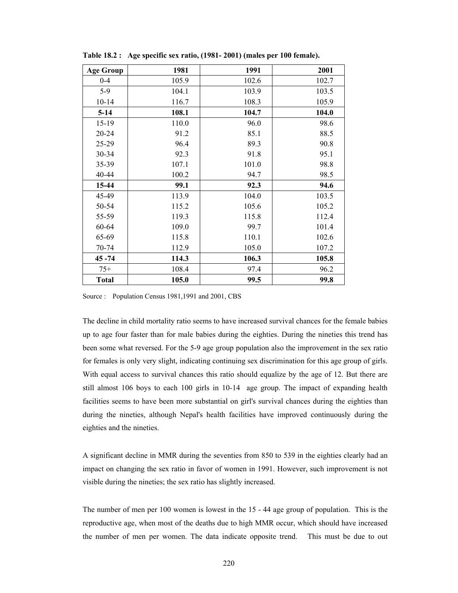| <b>Age Group</b> | 1981  | 1991  | 2001  |
|------------------|-------|-------|-------|
| $0 - 4$          | 105.9 | 102.6 | 102.7 |
| $5-9$            | 104.1 | 103.9 | 103.5 |
| $10 - 14$        | 116.7 | 108.3 | 105.9 |
| $5 - 14$         | 108.1 | 104.7 | 104.0 |
| $15-19$          | 110.0 | 96.0  | 98.6  |
| $20 - 24$        | 91.2  | 85.1  | 88.5  |
| $25 - 29$        | 96.4  | 89.3  | 90.8  |
| 30-34            | 92.3  | 91.8  | 95.1  |
| 35-39            | 107.1 | 101.0 | 98.8  |
| 40-44            | 100.2 | 94.7  | 98.5  |
| 15-44            | 99.1  | 92.3  | 94.6  |
| 45-49            | 113.9 | 104.0 | 103.5 |
| 50-54            | 115.2 | 105.6 | 105.2 |
| 55-59            | 119.3 | 115.8 | 112.4 |
| 60-64            | 109.0 | 99.7  | 101.4 |
| 65-69            | 115.8 | 110.1 | 102.6 |
| 70-74            | 112.9 | 105.0 | 107.2 |
| $45 - 74$        | 114.3 | 106.3 | 105.8 |
| $75+$            | 108.4 | 97.4  | 96.2  |
| <b>Total</b>     | 105.0 | 99.5  | 99.8  |

**Table 18.2 : Age specific sex ratio, (1981- 2001) (males per 100 female).** 

Source : Population Census 1981,1991 and 2001, CBS

The decline in child mortality ratio seems to have increased survival chances for the female babies up to age four faster than for male babies during the eighties. During the nineties this trend has been some what reversed. For the 5-9 age group population also the improvement in the sex ratio for females is only very slight, indicating continuing sex discrimination for this age group of girls. With equal access to survival chances this ratio should equalize by the age of 12. But there are still almost 106 boys to each 100 girls in 10-14 age group. The impact of expanding health facilities seems to have been more substantial on girl's survival chances during the eighties than during the nineties, although Nepal's health facilities have improved continuously during the eighties and the nineties.

A significant decline in MMR during the seventies from 850 to 539 in the eighties clearly had an impact on changing the sex ratio in favor of women in 1991. However, such improvement is not visible during the nineties; the sex ratio has slightly increased.

The number of men per 100 women is lowest in the 15 - 44 age group of population. This is the reproductive age, when most of the deaths due to high MMR occur, which should have increased the number of men per women. The data indicate opposite trend. This must be due to out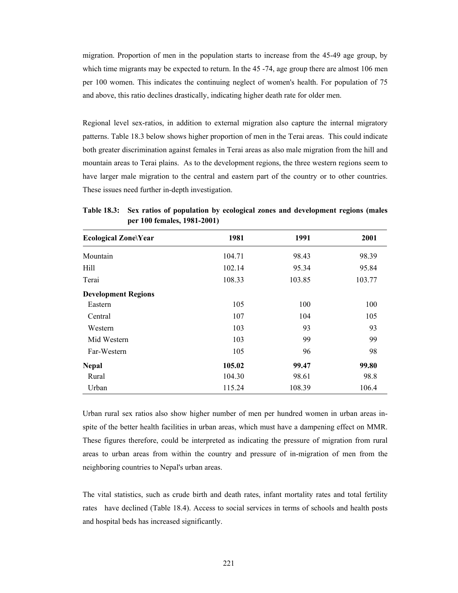migration. Proportion of men in the population starts to increase from the 45-49 age group, by which time migrants may be expected to return. In the 45 -74, age group there are almost 106 men per 100 women. This indicates the continuing neglect of women's health. For population of 75 and above, this ratio declines drastically, indicating higher death rate for older men.

Regional level sex-ratios, in addition to external migration also capture the internal migratory patterns. Table 18.3 below shows higher proportion of men in the Terai areas. This could indicate both greater discrimination against females in Terai areas as also male migration from the hill and mountain areas to Terai plains. As to the development regions, the three western regions seem to have larger male migration to the central and eastern part of the country or to other countries. These issues need further in-depth investigation.

| <b>Ecological Zone\Year</b> | 1981   | 1991   | 2001   |
|-----------------------------|--------|--------|--------|
| Mountain                    | 104.71 | 98.43  | 98.39  |
| Hill                        | 102.14 | 95.34  | 95.84  |
| Terai                       | 108.33 | 103.85 | 103.77 |
| <b>Development Regions</b>  |        |        |        |
| Eastern                     | 105    | 100    | 100    |
| Central                     | 107    | 104    | 105    |
| Western                     | 103    | 93     | 93     |
| Mid Western                 | 103    | 99     | 99     |
| Far-Western                 | 105    | 96     | 98     |
| <b>Nepal</b>                | 105.02 | 99.47  | 99.80  |
| Rural                       | 104.30 | 98.61  | 98.8   |
| Urban                       | 115.24 | 108.39 | 106.4  |

**Table 18.3: Sex ratios of population by ecological zones and development regions (males per 100 females, 1981-2001)** 

Urban rural sex ratios also show higher number of men per hundred women in urban areas inspite of the better health facilities in urban areas, which must have a dampening effect on MMR. These figures therefore, could be interpreted as indicating the pressure of migration from rural areas to urban areas from within the country and pressure of in-migration of men from the neighboring countries to Nepal's urban areas.

The vital statistics, such as crude birth and death rates, infant mortality rates and total fertility rates have declined (Table 18.4). Access to social services in terms of schools and health posts and hospital beds has increased significantly.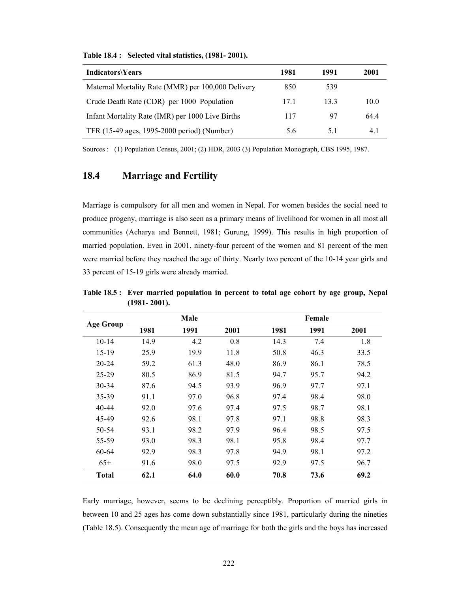| <b>Indicators\Years</b>                            | 1981 | 1991 | 2001 |
|----------------------------------------------------|------|------|------|
| Maternal Mortality Rate (MMR) per 100,000 Delivery | 850  | 539  |      |
| Crude Death Rate (CDR) per 1000 Population         | 17.1 | 133  | 10.0 |
| Infant Mortality Rate (IMR) per 1000 Live Births   | 117  | 97   | 644  |
| TFR (15-49 ages, 1995-2000 period) (Number)        | 5.6  | 5.1  | 4.1  |

**Table 18.4 : Selected vital statistics, (1981- 2001).** 

Sources : (1) Population Census, 2001; (2) HDR, 2003 (3) Population Monograph, CBS 1995, 1987.

## **18.4 Marriage and Fertility**

Marriage is compulsory for all men and women in Nepal. For women besides the social need to produce progeny, marriage is also seen as a primary means of livelihood for women in all most all communities (Acharya and Bennett, 1981; Gurung, 1999). This results in high proportion of married population. Even in 2001, ninety-four percent of the women and 81 percent of the men were married before they reached the age of thirty. Nearly two percent of the 10-14 year girls and 33 percent of 15-19 girls were already married.

|                  |      | Male |      |      | Female |      |
|------------------|------|------|------|------|--------|------|
| <b>Age Group</b> | 1981 | 1991 | 2001 | 1981 | 1991   | 2001 |
| $10 - 14$        | 14.9 | 4.2  | 0.8  | 14.3 | 7.4    | 1.8  |
| $15-19$          | 25.9 | 19.9 | 11.8 | 50.8 | 46.3   | 33.5 |
| $20 - 24$        | 59.2 | 61.3 | 48.0 | 86.9 | 86.1   | 78.5 |
| $25 - 29$        | 80.5 | 86.9 | 81.5 | 94.7 | 95.7   | 94.2 |
| $30 - 34$        | 87.6 | 94.5 | 93.9 | 96.9 | 97.7   | 97.1 |
| 35-39            | 91.1 | 97.0 | 96.8 | 97.4 | 98.4   | 98.0 |
| $40 - 44$        | 92.0 | 97.6 | 97.4 | 97.5 | 98.7   | 98.1 |
| 45-49            | 92.6 | 98.1 | 97.8 | 97.1 | 98.8   | 98.3 |
| 50-54            | 93.1 | 98.2 | 97.9 | 96.4 | 98.5   | 97.5 |
| 55-59            | 93.0 | 98.3 | 98.1 | 95.8 | 98.4   | 97.7 |
| 60-64            | 92.9 | 98.3 | 97.8 | 94.9 | 98.1   | 97.2 |
| $65+$            | 91.6 | 98.0 | 97.5 | 92.9 | 97.5   | 96.7 |
| <b>Total</b>     | 62.1 | 64.0 | 60.0 | 70.8 | 73.6   | 69.2 |

**Table 18.5 : Ever married population in percent to total age cohort by age group, Nepal (1981- 2001).** 

Early marriage, however, seems to be declining perceptibly. Proportion of married girls in between 10 and 25 ages has come down substantially since 1981, particularly during the nineties (Table 18.5). Consequently the mean age of marriage for both the girls and the boys has increased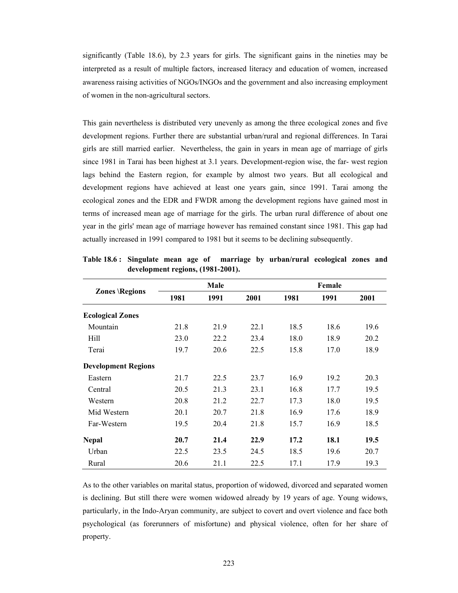significantly (Table 18.6), by 2.3 years for girls. The significant gains in the nineties may be interpreted as a result of multiple factors, increased literacy and education of women, increased awareness raising activities of NGOs/INGOs and the government and also increasing employment of women in the non-agricultural sectors.

This gain nevertheless is distributed very unevenly as among the three ecological zones and five development regions. Further there are substantial urban/rural and regional differences. In Tarai girls are still married earlier. Nevertheless, the gain in years in mean age of marriage of girls since 1981 in Tarai has been highest at 3.1 years. Development-region wise, the far- west region lags behind the Eastern region, for example by almost two years. But all ecological and development regions have achieved at least one years gain, since 1991. Tarai among the ecological zones and the EDR and FWDR among the development regions have gained most in terms of increased mean age of marriage for the girls. The urban rural difference of about one year in the girls' mean age of marriage however has remained constant since 1981. This gap had actually increased in 1991 compared to 1981 but it seems to be declining subsequently.

|                            | Male |      |      | Female |      |      |  |
|----------------------------|------|------|------|--------|------|------|--|
| <b>Zones \Regions</b>      | 1981 | 1991 | 2001 | 1981   | 1991 | 2001 |  |
| <b>Ecological Zones</b>    |      |      |      |        |      |      |  |
| Mountain                   | 21.8 | 21.9 | 22.1 | 18.5   | 18.6 | 19.6 |  |
| Hill                       | 23.0 | 22.2 | 23.4 | 18.0   | 18.9 | 20.2 |  |
| Terai                      | 19.7 | 20.6 | 22.5 | 15.8   | 17.0 | 18.9 |  |
| <b>Development Regions</b> |      |      |      |        |      |      |  |
| Eastern                    | 21.7 | 22.5 | 23.7 | 16.9   | 19.2 | 20.3 |  |
| Central                    | 20.5 | 21.3 | 23.1 | 16.8   | 17.7 | 19.5 |  |
| Western                    | 20.8 | 21.2 | 22.7 | 17.3   | 18.0 | 19.5 |  |
| Mid Western                | 20.1 | 20.7 | 21.8 | 16.9   | 17.6 | 18.9 |  |
| Far-Western                | 19.5 | 20.4 | 21.8 | 15.7   | 16.9 | 18.5 |  |
| <b>Nepal</b>               | 20.7 | 21.4 | 22.9 | 17.2   | 18.1 | 19.5 |  |
| Urban                      | 22.5 | 23.5 | 24.5 | 18.5   | 19.6 | 20.7 |  |
| Rural                      | 20.6 | 21.1 | 22.5 | 17.1   | 17.9 | 19.3 |  |

**Table 18.6 : Singulate mean age of marriage by urban/rural ecological zones and development regions, (1981-2001).** 

As to the other variables on marital status, proportion of widowed, divorced and separated women is declining. But still there were women widowed already by 19 years of age. Young widows, particularly, in the Indo-Aryan community, are subject to covert and overt violence and face both psychological (as forerunners of misfortune) and physical violence, often for her share of property.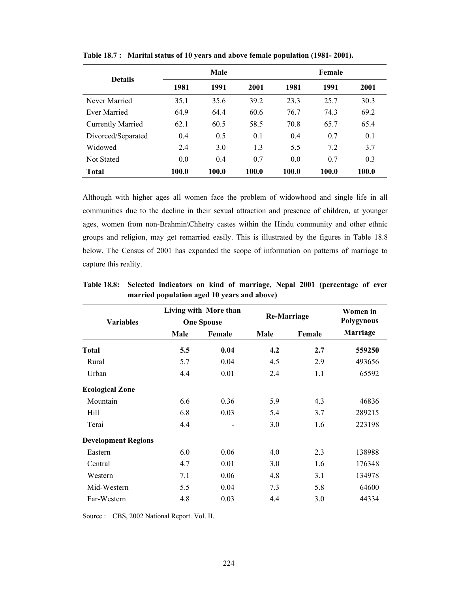| <b>Details</b>           | Male  |       |       | Female |       |       |
|--------------------------|-------|-------|-------|--------|-------|-------|
|                          | 1981  | 1991  | 2001  | 1981   | 1991  | 2001  |
| Never Married            | 35.1  | 35.6  | 39.2  | 23.3   | 25.7  | 30.3  |
| Ever Married             | 64.9  | 64.4  | 60.6  | 76.7   | 74.3  | 69.2  |
| <b>Currently Married</b> | 62.1  | 60.5  | 58.5  | 70.8   | 65.7  | 65.4  |
| Divorced/Separated       | 0.4   | 0.5   | 0.1   | 0.4    | 0.7   | 0.1   |
| Widowed                  | 2.4   | 3.0   | 1.3   | 5.5    | 7.2   | 3.7   |
| <b>Not Stated</b>        | 0.0   | 0.4   | 0.7   | 0.0    | 0.7   | 0.3   |
| <b>Total</b>             | 100.0 | 100.0 | 100.0 | 100.0  | 100.0 | 100.0 |

**Table 18.7 : Marital status of 10 years and above female population (1981- 2001).** 

Although with higher ages all women face the problem of widowhood and single life in all communities due to the decline in their sexual attraction and presence of children, at younger ages, women from non-Brahmin\Chhetry castes within the Hindu community and other ethnic groups and religion, may get remarried easily. This is illustrated by the figures in Table 18.8 below. The Census of 2001 has expanded the scope of information on patterns of marriage to capture this reality.

|                            |      | Living with More than<br><b>Re-Marriage</b> |      |        | Women in<br>Polygynous |  |
|----------------------------|------|---------------------------------------------|------|--------|------------------------|--|
| <b>Variables</b>           |      | <b>One Spouse</b>                           |      |        |                        |  |
|                            | Male | Female                                      | Male | Female | <b>Marriage</b>        |  |
| <b>Total</b>               | 5.5  | 0.04                                        | 4.2  | 2.7    | 559250                 |  |
| Rural                      | 5.7  | 0.04                                        | 4.5  | 2.9    | 493656                 |  |
| Urban                      | 4.4  | 0.01                                        | 2.4  | 1.1    | 65592                  |  |
| <b>Ecological Zone</b>     |      |                                             |      |        |                        |  |
| Mountain                   | 6.6  | 0.36                                        | 5.9  | 4.3    | 46836                  |  |
| Hill                       | 6.8  | 0.03                                        | 5.4  | 3.7    | 289215                 |  |
| Terai                      | 4.4  |                                             | 3.0  | 1.6    | 223198                 |  |
| <b>Development Regions</b> |      |                                             |      |        |                        |  |
| Eastern                    | 6.0  | 0.06                                        | 4.0  | 2.3    | 138988                 |  |
| Central                    | 4.7  | 0.01                                        | 3.0  | 1.6    | 176348                 |  |
| Western                    | 7.1  | 0.06                                        | 4.8  | 3.1    | 134978                 |  |
| Mid-Western                | 5.5  | 0.04                                        | 7.3  | 5.8    | 64600                  |  |
| Far-Western                | 4.8  | 0.03                                        | 4.4  | 3.0    | 44334                  |  |

**Table 18.8: Selected indicators on kind of marriage, Nepal 2001 (percentage of ever married population aged 10 years and above)** 

Source : CBS, 2002 National Report. Vol. II.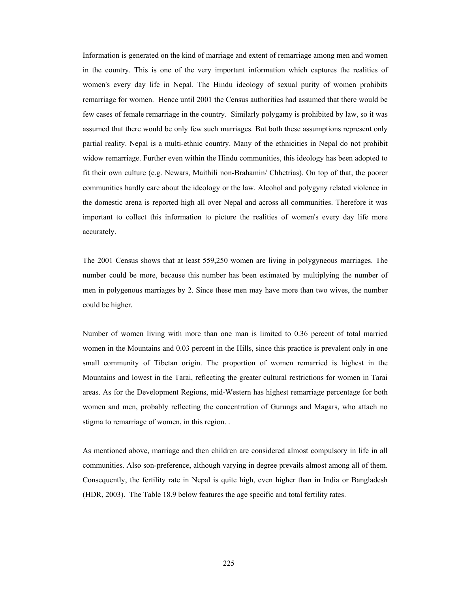Information is generated on the kind of marriage and extent of remarriage among men and women in the country. This is one of the very important information which captures the realities of women's every day life in Nepal. The Hindu ideology of sexual purity of women prohibits remarriage for women. Hence until 2001 the Census authorities had assumed that there would be few cases of female remarriage in the country. Similarly polygamy is prohibited by law, so it was assumed that there would be only few such marriages. But both these assumptions represent only partial reality. Nepal is a multi-ethnic country. Many of the ethnicities in Nepal do not prohibit widow remarriage. Further even within the Hindu communities, this ideology has been adopted to fit their own culture (e.g. Newars, Maithili non-Brahamin/ Chhetrias). On top of that, the poorer communities hardly care about the ideology or the law. Alcohol and polygyny related violence in the domestic arena is reported high all over Nepal and across all communities. Therefore it was important to collect this information to picture the realities of women's every day life more accurately.

The 2001 Census shows that at least 559,250 women are living in polygyneous marriages. The number could be more, because this number has been estimated by multiplying the number of men in polygenous marriages by 2. Since these men may have more than two wives, the number could be higher.

Number of women living with more than one man is limited to 0.36 percent of total married women in the Mountains and 0.03 percent in the Hills, since this practice is prevalent only in one small community of Tibetan origin. The proportion of women remarried is highest in the Mountains and lowest in the Tarai, reflecting the greater cultural restrictions for women in Tarai areas. As for the Development Regions, mid-Western has highest remarriage percentage for both women and men, probably reflecting the concentration of Gurungs and Magars, who attach no stigma to remarriage of women, in this region. .

As mentioned above, marriage and then children are considered almost compulsory in life in all communities. Also son-preference, although varying in degree prevails almost among all of them. Consequently, the fertility rate in Nepal is quite high, even higher than in India or Bangladesh (HDR, 2003). The Table 18.9 below features the age specific and total fertility rates.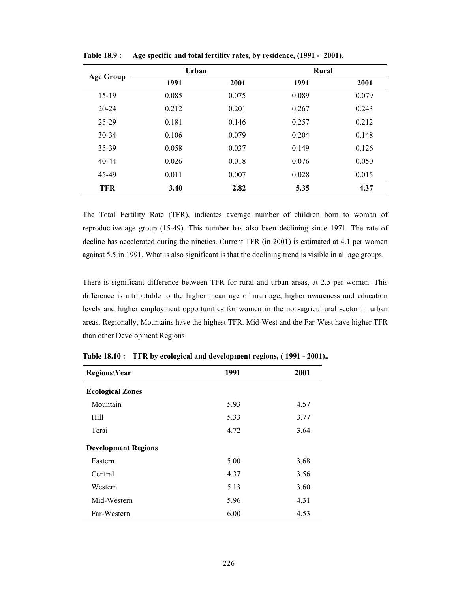|            | Urban |       | Rural |       |
|------------|-------|-------|-------|-------|
| Age Group  | 1991  | 2001  | 1991  | 2001  |
| $15-19$    | 0.085 | 0.075 | 0.089 | 0.079 |
| $20 - 24$  | 0.212 | 0.201 | 0.267 | 0.243 |
| $25 - 29$  | 0.181 | 0.146 | 0.257 | 0.212 |
| $30 - 34$  | 0.106 | 0.079 | 0.204 | 0.148 |
| 35-39      | 0.058 | 0.037 | 0.149 | 0.126 |
| $40 - 44$  | 0.026 | 0.018 | 0.076 | 0.050 |
| 45-49      | 0.011 | 0.007 | 0.028 | 0.015 |
| <b>TFR</b> | 3.40  | 2.82  | 5.35  | 4.37  |

**Table 18.9 : Age specific and total fertility rates, by residence, (1991 - 2001).** 

The Total Fertility Rate (TFR), indicates average number of children born to woman of reproductive age group (15-49). This number has also been declining since 1971. The rate of decline has accelerated during the nineties. Current TFR (in 2001) is estimated at 4.1 per women against 5.5 in 1991. What is also significant is that the declining trend is visible in all age groups.

There is significant difference between TFR for rural and urban areas, at 2.5 per women. This difference is attributable to the higher mean age of marriage, higher awareness and education levels and higher employment opportunities for women in the non-agricultural sector in urban areas. Regionally, Mountains have the highest TFR. Mid-West and the Far-West have higher TFR than other Development Regions

| <b>Regions\Year</b>        | 1991 | 2001 |
|----------------------------|------|------|
| <b>Ecological Zones</b>    |      |      |
| Mountain                   | 5.93 | 4.57 |
| Hill                       | 5.33 | 3.77 |
| Terai                      | 4.72 | 3.64 |
| <b>Development Regions</b> |      |      |
| Eastern                    | 5.00 | 3.68 |
| Central                    | 4.37 | 3.56 |
| Western                    | 5.13 | 3.60 |
| Mid-Western                | 5.96 | 4.31 |
| Far-Western                | 6.00 | 4.53 |

**Table 18.10 : TFR by ecological and development regions, ( 1991 - 2001)..**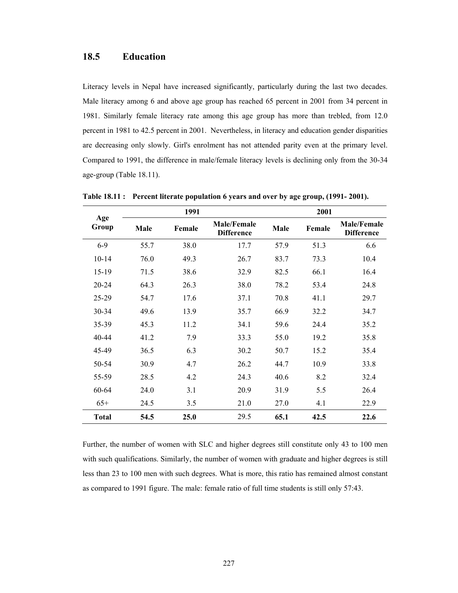## **18.5 Education**

Literacy levels in Nepal have increased significantly, particularly during the last two decades. Male literacy among 6 and above age group has reached 65 percent in 2001 from 34 percent in 1981. Similarly female literacy rate among this age group has more than trebled, from 12.0 percent in 1981 to 42.5 percent in 2001. Nevertheless, in literacy and education gender disparities are decreasing only slowly. Girl's enrolment has not attended parity even at the primary level. Compared to 1991, the difference in male/female literacy levels is declining only from the 30-34 age-group (Table 18.11).

| Age          |      | 1991   |                                         |      | 2001   |                                         |
|--------------|------|--------|-----------------------------------------|------|--------|-----------------------------------------|
| Group        | Male | Female | <b>Male/Female</b><br><b>Difference</b> | Male | Female | <b>Male/Female</b><br><b>Difference</b> |
| $6 - 9$      | 55.7 | 38.0   | 17.7                                    | 57.9 | 51.3   | 6.6                                     |
| $10 - 14$    | 76.0 | 49.3   | 26.7                                    | 83.7 | 73.3   | 10.4                                    |
| $15-19$      | 71.5 | 38.6   | 32.9                                    | 82.5 | 66.1   | 16.4                                    |
| 20-24        | 64.3 | 26.3   | 38.0                                    | 78.2 | 53.4   | 24.8                                    |
| 25-29        | 54.7 | 17.6   | 37.1                                    | 70.8 | 41.1   | 29.7                                    |
| 30-34        | 49.6 | 13.9   | 35.7                                    | 66.9 | 32.2   | 34.7                                    |
| 35-39        | 45.3 | 11.2   | 34.1                                    | 59.6 | 24.4   | 35.2                                    |
| 40-44        | 41.2 | 7.9    | 33.3                                    | 55.0 | 19.2   | 35.8                                    |
| 45-49        | 36.5 | 6.3    | 30.2                                    | 50.7 | 15.2   | 35.4                                    |
| 50-54        | 30.9 | 4.7    | 26.2                                    | 44.7 | 10.9   | 33.8                                    |
| 55-59        | 28.5 | 4.2    | 24.3                                    | 40.6 | 8.2    | 32.4                                    |
| 60-64        | 24.0 | 3.1    | 20.9                                    | 31.9 | 5.5    | 26.4                                    |
| $65+$        | 24.5 | 3.5    | 21.0                                    | 27.0 | 4.1    | 22.9                                    |
| <b>Total</b> | 54.5 | 25.0   | 29.5                                    | 65.1 | 42.5   | 22.6                                    |

**Table 18.11 : Percent literate population 6 years and over by age group, (1991- 2001).** 

Further, the number of women with SLC and higher degrees still constitute only 43 to 100 men with such qualifications. Similarly, the number of women with graduate and higher degrees is still less than 23 to 100 men with such degrees. What is more, this ratio has remained almost constant as compared to 1991 figure. The male: female ratio of full time students is still only 57:43.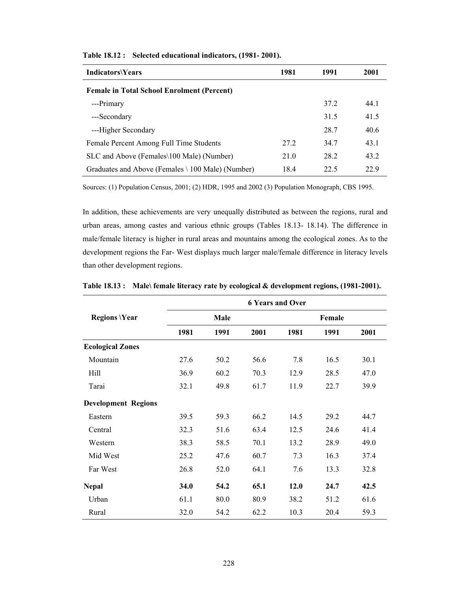| <b>Indicators\Years</b>                           | 1981 | 1991 | 2001 |
|---------------------------------------------------|------|------|------|
| <b>Female in Total School Enrolment (Percent)</b> |      |      |      |
| ---Primary                                        |      | 37.2 | 44 1 |
| ---Secondary                                      |      | 31.5 | 41.5 |
| ---Higher Secondary                               |      | 28.7 | 40.6 |
| Female Percent Among Full Time Students           | 27.2 | 347  | 43.1 |
| SLC and Above (Females\100 Male) (Number)         | 21.0 | 28.2 | 43.2 |
| Graduates and Above (Females \ 100 Male) (Number) | 18.4 | 22.5 | 22.9 |

**Table 18.12 : Selected educational indicators, (1981- 2001).** 

Sources: (1) Population Census, 2001; (2) HDR, 1995 and 2002 (3) Population Monograph, CBS 1995.

In addition, these achievements are very unequally distributed as between the regions, rural and urban areas, among castes and various ethnic groups (Tables 18.13- 18.14). The difference in male/female literacy is higher in rural areas and mountains among the ecological zones. As to the development regions the Far- West displays much larger male/female difference in literacy levels than other development regions.

|                            |      |      |      | <b>6 Years and Over</b> |        |      |
|----------------------------|------|------|------|-------------------------|--------|------|
| <b>Regions \Year</b>       |      | Male |      |                         | Female |      |
|                            | 1981 | 1991 | 2001 | 1981                    | 1991   | 2001 |
| <b>Ecological Zones</b>    |      |      |      |                         |        |      |
| Mountain                   | 27.6 | 50.2 | 56.6 | 7.8                     | 16.5   | 30.1 |
| Hill                       | 36.9 | 60.2 | 70.3 | 12.9                    | 28.5   | 47.0 |
| Tarai                      | 32.1 | 49.8 | 61.7 | 11.9                    | 22.7   | 39.9 |
| <b>Development Regions</b> |      |      |      |                         |        |      |
| Eastern                    | 39.5 | 59.3 | 66.2 | 14.5                    | 29.2   | 44.7 |
| Central                    | 32.3 | 51.6 | 63.4 | 12.5                    | 24.6   | 41.4 |
| Western                    | 38.3 | 58.5 | 70.1 | 13.2                    | 28.9   | 49.0 |
| Mid West                   | 25.2 | 47.6 | 60.7 | 7.3                     | 16.3   | 37.4 |
| Far West                   | 26.8 | 52.0 | 64.1 | 7.6                     | 13.3   | 32.8 |
| <b>Nepal</b>               | 34.0 | 54.2 | 65.1 | 12.0                    | 24.7   | 42.5 |
| Urban                      | 61.1 | 80.0 | 80.9 | 38.2                    | 51.2   | 61.6 |
| Rural                      | 32.0 | 54.2 | 62.2 | 10.3                    | 20.4   | 59.3 |

**Table 18.13 : Male\ female literacy rate by ecological & development regions, (1981-2001).**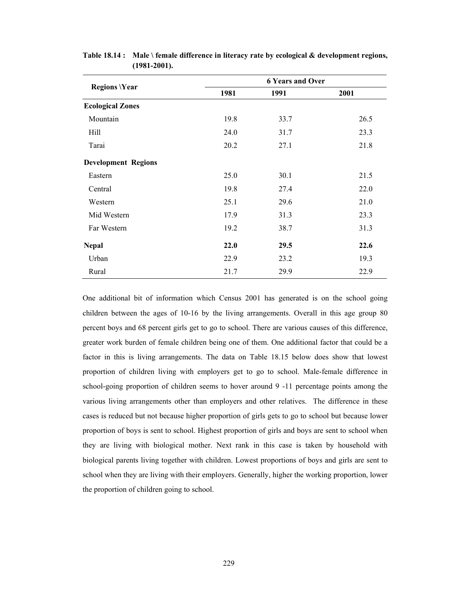|                            | <b>6 Years and Over</b> |      |      |  |  |  |  |
|----------------------------|-------------------------|------|------|--|--|--|--|
| <b>Regions \Year</b>       | 1981                    | 1991 | 2001 |  |  |  |  |
| <b>Ecological Zones</b>    |                         |      |      |  |  |  |  |
| Mountain                   | 19.8                    | 33.7 | 26.5 |  |  |  |  |
| Hill                       | 24.0                    | 31.7 | 23.3 |  |  |  |  |
| Tarai                      | 20.2                    | 27.1 | 21.8 |  |  |  |  |
| <b>Development Regions</b> |                         |      |      |  |  |  |  |
| Eastern                    | 25.0                    | 30.1 | 21.5 |  |  |  |  |
| Central                    | 19.8                    | 27.4 | 22.0 |  |  |  |  |
| Western                    | 25.1                    | 29.6 | 21.0 |  |  |  |  |
| Mid Western                | 17.9                    | 31.3 | 23.3 |  |  |  |  |
| Far Western                | 19.2                    | 38.7 | 31.3 |  |  |  |  |
| <b>Nepal</b>               | 22.0                    | 29.5 | 22.6 |  |  |  |  |
| Urban                      | 22.9                    | 23.2 | 19.3 |  |  |  |  |
| Rural                      | 21.7                    | 29.9 | 22.9 |  |  |  |  |

**Table 18.14 : Male \ female difference in literacy rate by ecological & development regions, (1981-2001).** 

One additional bit of information which Census 2001 has generated is on the school going children between the ages of 10-16 by the living arrangements. Overall in this age group 80 percent boys and 68 percent girls get to go to school. There are various causes of this difference, greater work burden of female children being one of them. One additional factor that could be a factor in this is living arrangements. The data on Table 18.15 below does show that lowest proportion of children living with employers get to go to school. Male-female difference in school-going proportion of children seems to hover around 9 -11 percentage points among the various living arrangements other than employers and other relatives. The difference in these cases is reduced but not because higher proportion of girls gets to go to school but because lower proportion of boys is sent to school. Highest proportion of girls and boys are sent to school when they are living with biological mother. Next rank in this case is taken by household with biological parents living together with children. Lowest proportions of boys and girls are sent to school when they are living with their employers. Generally, higher the working proportion, lower the proportion of children going to school.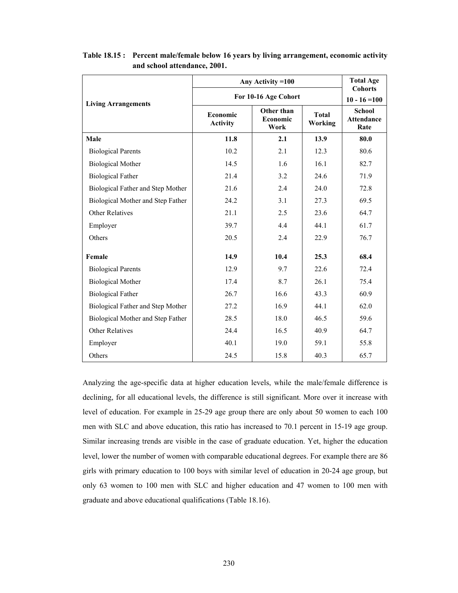|                                   | Any Activity = 100                                                   | <b>Total Age</b><br><b>Cohorts</b> |                                |                                            |
|-----------------------------------|----------------------------------------------------------------------|------------------------------------|--------------------------------|--------------------------------------------|
| <b>Living Arrangements</b>        | For 10-16 Age Cohort                                                 | $10 - 16 = 100$                    |                                |                                            |
|                                   | Other than<br><b>Economic</b><br>Economic<br><b>Activity</b><br>Work |                                    | <b>Total</b><br><b>Working</b> | <b>School</b><br><b>Attendance</b><br>Rate |
| Male                              | 11.8                                                                 | 2.1                                | 13.9                           | 80.0                                       |
| <b>Biological Parents</b>         | 10.2                                                                 | 2.1                                | 12.3                           | 80.6                                       |
| <b>Biological Mother</b>          | 14.5                                                                 | 1.6                                | 16.1                           | 82.7                                       |
| <b>Biological Father</b>          | 21.4                                                                 | 3.2                                | 24.6                           | 71.9                                       |
| Biological Father and Step Mother | 21.6                                                                 | 2.4                                | 24.0                           | 72.8                                       |
| Biological Mother and Step Father | 24.2                                                                 | 3.1                                | 27.3                           | 69.5                                       |
| <b>Other Relatives</b>            | 21.1                                                                 | 2.5                                | 23.6                           | 64.7                                       |
| Employer                          | 39.7                                                                 | 4.4                                | 44.1                           | 61.7                                       |
| Others                            | 20.5                                                                 | 2.4                                | 22.9                           | 76.7                                       |
| Female                            | 14.9                                                                 | 10.4                               | 25.3                           | 68.4                                       |
| <b>Biological Parents</b>         | 12.9                                                                 | 9.7                                | 22.6                           | 72.4                                       |
| <b>Biological Mother</b>          | 17.4                                                                 | 8.7                                | 26.1                           | 75.4                                       |
| <b>Biological Father</b>          | 26.7                                                                 | 16.6                               | 43.3                           | 60.9                                       |
| Biological Father and Step Mother | 27.2                                                                 | 16.9                               | 44.1                           | 62.0                                       |
| Biological Mother and Step Father | 28.5                                                                 | 18.0                               | 46.5                           | 59.6                                       |
| <b>Other Relatives</b>            | 24.4                                                                 | 16.5                               | 40.9                           | 64.7                                       |
| Employer                          | 40.1                                                                 | 19.0                               | 59.1                           | 55.8                                       |
| Others                            | 24.5                                                                 | 15.8                               | 40.3                           | 65.7                                       |

**Table 18.15 : Percent male/female below 16 years by living arrangement, economic activity and school attendance, 2001.** 

Analyzing the age-specific data at higher education levels, while the male/female difference is declining, for all educational levels, the difference is still significant. More over it increase with level of education. For example in 25-29 age group there are only about 50 women to each 100 men with SLC and above education, this ratio has increased to 70.1 percent in 15-19 age group. Similar increasing trends are visible in the case of graduate education. Yet, higher the education level, lower the number of women with comparable educational degrees. For example there are 86 girls with primary education to 100 boys with similar level of education in 20-24 age group, but only 63 women to 100 men with SLC and higher education and 47 women to 100 men with graduate and above educational qualifications (Table 18.16).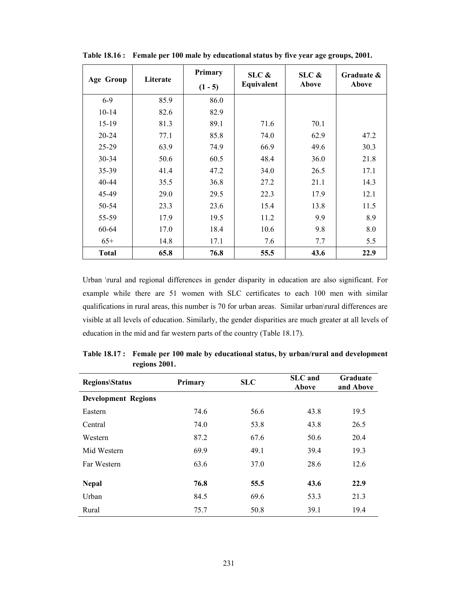|                  | Literate | Primary   | $SLC$ &    | $SLC$ & | Graduate & |  |
|------------------|----------|-----------|------------|---------|------------|--|
| <b>Age Group</b> |          | $(1 - 5)$ | Equivalent | Above   | Above      |  |
| $6 - 9$          | 85.9     | 86.0      |            |         |            |  |
| $10 - 14$        | 82.6     | 82.9      |            |         |            |  |
| $15-19$          | 81.3     | 89.1      | 71.6       | 70.1    |            |  |
| 20-24            | 77.1     | 85.8      | 74.0       | 62.9    | 47.2       |  |
| 25-29            | 63.9     | 74.9      | 66.9       | 49.6    | 30.3       |  |
| 30-34            | 50.6     | 60.5      | 48.4       | 36.0    | 21.8       |  |
| 35-39            | 41.4     | 47.2      | 34.0       | 26.5    | 17.1       |  |
| 40-44            | 35.5     | 36.8      | 27.2       | 21.1    | 14.3       |  |
| 45-49            | 29.0     | 29.5      | 22.3       | 17.9    | 12.1       |  |
| 50-54            | 23.3     | 23.6      | 15.4       | 13.8    | 11.5       |  |
| 55-59            | 17.9     | 19.5      | 11.2       | 9.9     | 8.9        |  |
| 60-64            | 17.0     | 18.4      | 10.6       | 9.8     | 8.0        |  |
| $65+$            | 14.8     | 17.1      | 7.6        | 7.7     | 5.5        |  |
| <b>Total</b>     | 65.8     | 76.8      | 55.5       | 43.6    | 22.9       |  |

**Table 18.16 : Female per 100 male by educational status by five year age groups, 2001.** 

Urban \rural and regional differences in gender disparity in education are also significant. For example while there are 51 women with SLC certificates to each 100 men with similar qualifications in rural areas, this number is 70 for urban areas. Similar urban\rural differences are visible at all levels of education. Similarly, the gender disparities are much greater at all levels of education in the mid and far western parts of the country (Table 18.17).

| <b>Regions\Status</b>      | Primary | <b>SLC</b> | <b>SLC</b> and<br>Above | Graduate<br>and Above |  |
|----------------------------|---------|------------|-------------------------|-----------------------|--|
| <b>Development Regions</b> |         |            |                         |                       |  |
| Eastern                    | 74.6    | 56.6       | 43.8                    | 19.5                  |  |
| Central                    | 74.0    | 53.8       | 43.8                    | 26.5                  |  |
| Western                    | 87.2    | 67.6       | 50.6                    | 20.4                  |  |
| Mid Western                | 69.9    | 49.1       | 39.4                    | 19.3                  |  |
| Far Western                | 63.6    | 37.0       | 28.6                    | 12.6                  |  |
|                            |         |            |                         |                       |  |
| <b>Nepal</b>               | 76.8    | 55.5       | 43.6                    | 22.9                  |  |
| Urban                      | 84.5    | 69.6       | 53.3                    | 21.3                  |  |
| Rural                      | 75.7    | 50.8       | 39.1                    | 19.4                  |  |

**Table 18.17 : Female per 100 male by educational status, by urban/rural and development regions 2001.**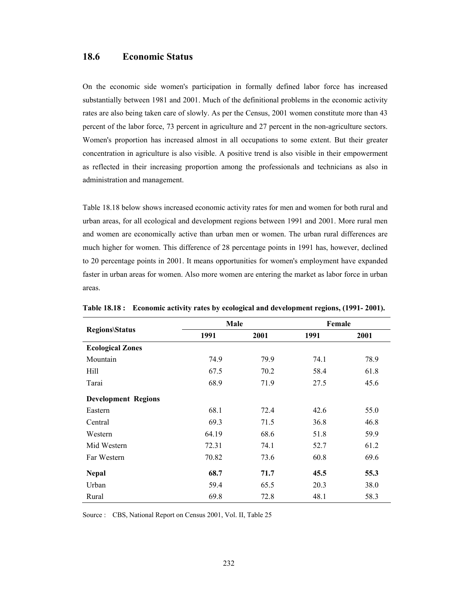## **18.6 Economic Status**

On the economic side women's participation in formally defined labor force has increased substantially between 1981 and 2001. Much of the definitional problems in the economic activity rates are also being taken care of slowly. As per the Census, 2001 women constitute more than 43 percent of the labor force, 73 percent in agriculture and 27 percent in the non-agriculture sectors. Women's proportion has increased almost in all occupations to some extent. But their greater concentration in agriculture is also visible. A positive trend is also visible in their empowerment as reflected in their increasing proportion among the professionals and technicians as also in administration and management.

Table 18.18 below shows increased economic activity rates for men and women for both rural and urban areas, for all ecological and development regions between 1991 and 2001. More rural men and women are economically active than urban men or women. The urban rural differences are much higher for women. This difference of 28 percentage points in 1991 has, however, declined to 20 percentage points in 2001. It means opportunities for women's employment have expanded faster in urban areas for women. Also more women are entering the market as labor force in urban areas.

|                            | Male  |      | Female |      |
|----------------------------|-------|------|--------|------|
| <b>Regions\Status</b>      | 1991  | 2001 | 1991   | 2001 |
| <b>Ecological Zones</b>    |       |      |        |      |
| Mountain                   | 74.9  | 79.9 | 74.1   | 78.9 |
| Hill                       | 67.5  | 70.2 | 58.4   | 61.8 |
| Tarai                      | 68.9  | 71.9 | 27.5   | 45.6 |
| <b>Development Regions</b> |       |      |        |      |
| Eastern                    | 68.1  | 72.4 | 42.6   | 55.0 |
| Central                    | 69.3  | 71.5 | 36.8   | 46.8 |
| Western                    | 64.19 | 68.6 | 51.8   | 59.9 |
| Mid Western                | 72.31 | 74.1 | 52.7   | 61.2 |
| Far Western                | 70.82 | 73.6 | 60.8   | 69.6 |
| <b>Nepal</b>               | 68.7  | 71.7 | 45.5   | 55.3 |
| Urban                      | 59.4  | 65.5 | 20.3   | 38.0 |
| Rural                      | 69.8  | 72.8 | 48.1   | 58.3 |

**Table 18.18 : Economic activity rates by ecological and development regions, (1991- 2001).** 

Source : CBS, National Report on Census 2001, Vol. II, Table 25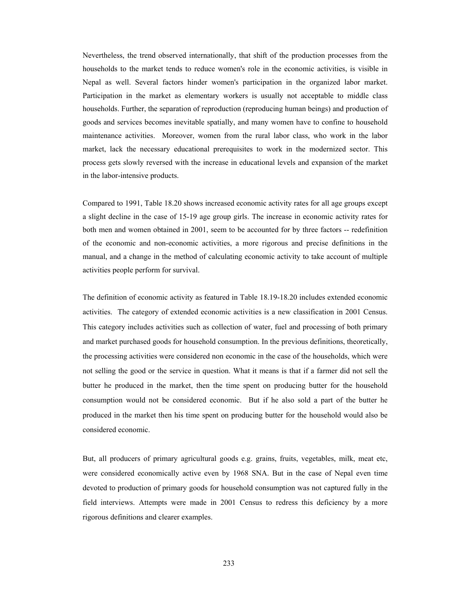Nevertheless, the trend observed internationally, that shift of the production processes from the households to the market tends to reduce women's role in the economic activities, is visible in Nepal as well. Several factors hinder women's participation in the organized labor market. Participation in the market as elementary workers is usually not acceptable to middle class households. Further, the separation of reproduction (reproducing human beings) and production of goods and services becomes inevitable spatially, and many women have to confine to household maintenance activities. Moreover, women from the rural labor class, who work in the labor market, lack the necessary educational prerequisites to work in the modernized sector. This process gets slowly reversed with the increase in educational levels and expansion of the market in the labor-intensive products.

Compared to 1991, Table 18.20 shows increased economic activity rates for all age groups except a slight decline in the case of 15-19 age group girls. The increase in economic activity rates for both men and women obtained in 2001, seem to be accounted for by three factors -- redefinition of the economic and non-economic activities, a more rigorous and precise definitions in the manual, and a change in the method of calculating economic activity to take account of multiple activities people perform for survival.

The definition of economic activity as featured in Table 18.19-18.20 includes extended economic activities. The category of extended economic activities is a new classification in 2001 Census. This category includes activities such as collection of water, fuel and processing of both primary and market purchased goods for household consumption. In the previous definitions, theoretically, the processing activities were considered non economic in the case of the households, which were not selling the good or the service in question. What it means is that if a farmer did not sell the butter he produced in the market, then the time spent on producing butter for the household consumption would not be considered economic. But if he also sold a part of the butter he produced in the market then his time spent on producing butter for the household would also be considered economic.

But, all producers of primary agricultural goods e.g. grains, fruits, vegetables, milk, meat etc, were considered economically active even by 1968 SNA. But in the case of Nepal even time devoted to production of primary goods for household consumption was not captured fully in the field interviews. Attempts were made in 2001 Census to redress this deficiency by a more rigorous definitions and clearer examples.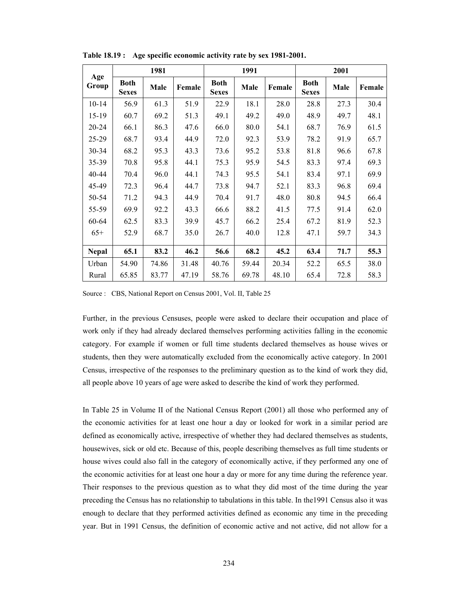|              | 1981                        |       |        |                                     | 1991  |        |                             | 2001 |        |  |
|--------------|-----------------------------|-------|--------|-------------------------------------|-------|--------|-----------------------------|------|--------|--|
| Age<br>Group | <b>Both</b><br><b>Sexes</b> | Male  | Female | <b>Both</b><br>Male<br><b>Sexes</b> |       | Female | <b>Both</b><br><b>Sexes</b> | Male | Female |  |
| $10 - 14$    | 56.9                        | 61.3  | 51.9   | 22.9                                | 18.1  | 28.0   | 28.8                        | 27.3 | 30.4   |  |
| $15-19$      | 60.7                        | 69.2  | 51.3   | 49.1                                | 49.2  | 49.0   | 48.9                        | 49.7 | 48.1   |  |
| 20-24        | 66.1                        | 86.3  | 47.6   | 66.0                                | 80.0  | 54.1   | 68.7                        | 76.9 | 61.5   |  |
| $25 - 29$    | 68.7                        | 93.4  | 44.9   | 72.0                                | 92.3  | 53.9   | 78.2                        | 91.9 | 65.7   |  |
| $30 - 34$    | 68.2                        | 95.3  | 43.3   | 73.6                                | 95.2  | 53.8   | 81.8                        | 96.6 | 67.8   |  |
| 35-39        | 70.8                        | 95.8  | 44.1   | 75.3                                | 95.9  | 54.5   | 83.3                        | 97.4 | 69.3   |  |
| 40-44        | 70.4                        | 96.0  | 44.1   | 74.3                                | 95.5  | 54.1   | 83.4                        | 97.1 | 69.9   |  |
| 45-49        | 72.3                        | 96.4  | 44.7   | 73.8                                | 94.7  | 52.1   | 83.3                        | 96.8 | 69.4   |  |
| 50-54        | 71.2                        | 94.3  | 44.9   | 70.4                                | 91.7  | 48.0   | 80.8                        | 94.5 | 66.4   |  |
| 55-59        | 69.9                        | 92.2  | 43.3   | 66.6                                | 88.2  | 41.5   | 77.5                        | 91.4 | 62.0   |  |
| 60-64        | 62.5                        | 83.3  | 39.9   | 45.7                                | 66.2  | 25.4   | 67.2                        | 81.9 | 52.3   |  |
| $65+$        | 52.9                        | 68.7  | 35.0   | 26.7                                | 40.0  | 12.8   | 47.1                        | 59.7 | 34.3   |  |
|              |                             |       |        |                                     |       |        |                             |      |        |  |
| <b>Nepal</b> | 65.1                        | 83.2  | 46.2   | 56.6                                | 68.2  | 45.2   | 63.4                        | 71.7 | 55.3   |  |
| Urban        | 54.90                       | 74.86 | 31.48  | 40.76                               | 59.44 | 20.34  | 52.2                        | 65.5 | 38.0   |  |
| Rural        | 65.85                       | 83.77 | 47.19  | 58.76                               | 69.78 | 48.10  | 65.4                        | 72.8 | 58.3   |  |

**Table 18.19 : Age specific economic activity rate by sex 1981-2001.** 

Source : CBS, National Report on Census 2001, Vol. II, Table 25

Further, in the previous Censuses, people were asked to declare their occupation and place of work only if they had already declared themselves performing activities falling in the economic category. For example if women or full time students declared themselves as house wives or students, then they were automatically excluded from the economically active category. In 2001 Census, irrespective of the responses to the preliminary question as to the kind of work they did, all people above 10 years of age were asked to describe the kind of work they performed.

In Table 25 in Volume II of the National Census Report (2001) all those who performed any of the economic activities for at least one hour a day or looked for work in a similar period are defined as economically active, irrespective of whether they had declared themselves as students, housewives, sick or old etc. Because of this, people describing themselves as full time students or house wives could also fall in the category of economically active, if they performed any one of the economic activities for at least one hour a day or more for any time during the reference year. Their responses to the previous question as to what they did most of the time during the year preceding the Census has no relationship to tabulations in this table. In the1991 Census also it was enough to declare that they performed activities defined as economic any time in the preceding year. But in 1991 Census, the definition of economic active and not active, did not allow for a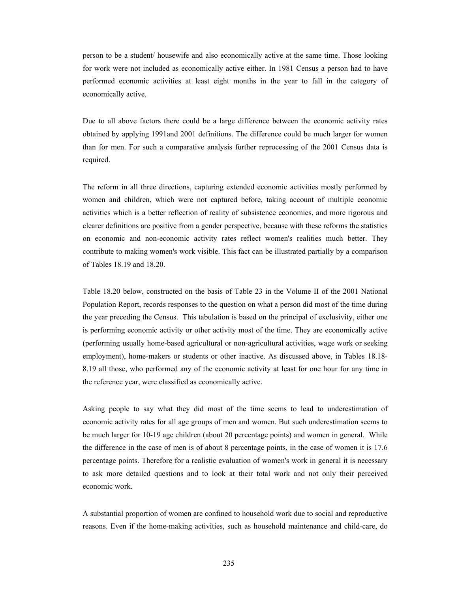person to be a student/ housewife and also economically active at the same time. Those looking for work were not included as economically active either. In 1981 Census a person had to have performed economic activities at least eight months in the year to fall in the category of economically active.

Due to all above factors there could be a large difference between the economic activity rates obtained by applying 1991and 2001 definitions. The difference could be much larger for women than for men. For such a comparative analysis further reprocessing of the 2001 Census data is required.

The reform in all three directions, capturing extended economic activities mostly performed by women and children, which were not captured before, taking account of multiple economic activities which is a better reflection of reality of subsistence economies, and more rigorous and clearer definitions are positive from a gender perspective, because with these reforms the statistics on economic and non-economic activity rates reflect women's realities much better. They contribute to making women's work visible. This fact can be illustrated partially by a comparison of Tables 18.19 and 18.20.

Table 18.20 below, constructed on the basis of Table 23 in the Volume II of the 2001 National Population Report, records responses to the question on what a person did most of the time during the year preceding the Census. This tabulation is based on the principal of exclusivity, either one is performing economic activity or other activity most of the time. They are economically active (performing usually home-based agricultural or non-agricultural activities, wage work or seeking employment), home-makers or students or other inactive. As discussed above, in Tables 18.18- 8.19 all those, who performed any of the economic activity at least for one hour for any time in the reference year, were classified as economically active.

Asking people to say what they did most of the time seems to lead to underestimation of economic activity rates for all age groups of men and women. But such underestimation seems to be much larger for 10-19 age children (about 20 percentage points) and women in general. While the difference in the case of men is of about 8 percentage points, in the case of women it is 17.6 percentage points. Therefore for a realistic evaluation of women's work in general it is necessary to ask more detailed questions and to look at their total work and not only their perceived economic work.

A substantial proportion of women are confined to household work due to social and reproductive reasons. Even if the home-making activities, such as household maintenance and child-care, do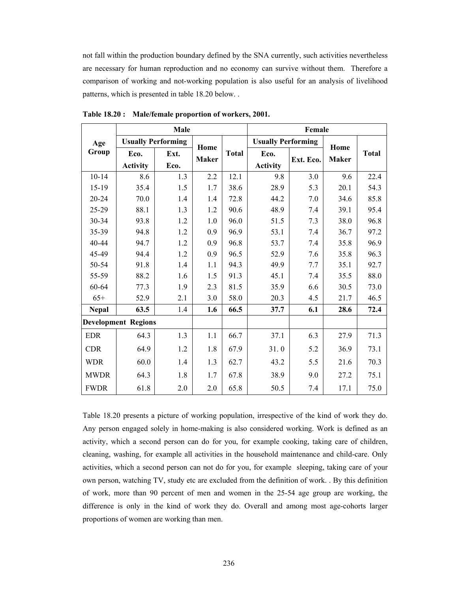not fall within the production boundary defined by the SNA currently, such activities nevertheless are necessary for human reproduction and no economy can survive without them. Therefore a comparison of working and not-working population is also useful for an analysis of livelihood patterns, which is presented in table 18.20 below. .

|              |                            | Male                      |              |              |                           | Female    |              |              |
|--------------|----------------------------|---------------------------|--------------|--------------|---------------------------|-----------|--------------|--------------|
| Age          |                            | <b>Usually Performing</b> | Home         |              | <b>Usually Performing</b> |           | Home         |              |
| Group        | Eco.                       | Ext.                      | <b>Maker</b> | <b>Total</b> | Eco.                      | Ext. Eco. | <b>Maker</b> | <b>Total</b> |
|              | <b>Activity</b>            | Eco.                      |              |              | <b>Activity</b>           |           |              |              |
| $10 - 14$    | 8.6                        | 1.3                       | 2.2          | 12.1         | 9.8                       | 3.0       | 9.6          | 22.4         |
| $15-19$      | 35.4                       | 1.5                       | 1.7          | 38.6         | 28.9                      | 5.3       | 20.1         | 54.3         |
| 20-24        | 70.0                       | 1.4                       | 1.4          | 72.8         | 44.2                      | 7.0       | 34.6         | 85.8         |
| 25-29        | 88.1                       | 1.3                       | 1.2          | 90.6         | 48.9                      | 7.4       | 39.1         | 95.4         |
| 30-34        | 93.8                       | 1.2                       | 1.0          | 96.0         | 51.5                      | 7.3       | 38.0         | 96.8         |
| 35-39        | 94.8                       | 1.2                       | 0.9          | 96.9         | 53.1                      | 7.4       | 36.7         | 97.2         |
| 40-44        | 94.7                       | 1.2                       | 0.9          | 96.8         | 53.7                      | 7.4       | 35.8         | 96.9         |
| 45-49        | 94.4                       | 1.2                       | 0.9          | 96.5         | 52.9                      | 7.6       | 35.8         | 96.3         |
| 50-54        | 91.8                       | 1.4                       | 1.1          | 94.3         | 49.9                      | 7.7       | 35.1         | 92.7         |
| 55-59        | 88.2                       | 1.6                       | 1.5          | 91.3         | 45.1                      | 7.4       | 35.5         | 88.0         |
| 60-64        | 77.3                       | 1.9                       | 2.3          | 81.5         | 35.9                      | 6.6       | 30.5         | 73.0         |
| $65+$        | 52.9                       | 2.1                       | 3.0          | 58.0         | 20.3                      | 4.5       | 21.7         | 46.5         |
| <b>Nepal</b> | 63.5                       | 1.4                       | 1.6          | 66.5         | 37.7                      | 6.1       | 28.6         | 72.4         |
|              | <b>Development Regions</b> |                           |              |              |                           |           |              |              |
| <b>EDR</b>   | 64.3                       | 1.3                       | 1.1          | 66.7         | 37.1                      | 6.3       | 27.9         | 71.3         |
| <b>CDR</b>   | 64.9                       | 1.2                       | 1.8          | 67.9         | 31.0                      | 5.2       | 36.9         | 73.1         |
| <b>WDR</b>   | 60.0                       | 1.4                       | 1.3          | 62.7         | 43.2                      | 5.5       | 21.6         | 70.3         |
| <b>MWDR</b>  | 64.3                       | 1.8                       | 1.7          | 67.8         | 38.9                      | 9.0       | 27.2         | 75.1         |
| <b>FWDR</b>  | 61.8                       | 2.0                       | 2.0          | 65.8         | 50.5                      | 7.4       | 17.1         | 75.0         |

**Table 18.20 : Male/female proportion of workers, 2001.** 

Table 18.20 presents a picture of working population, irrespective of the kind of work they do. Any person engaged solely in home-making is also considered working. Work is defined as an activity, which a second person can do for you, for example cooking, taking care of children, cleaning, washing, for example all activities in the household maintenance and child-care. Only activities, which a second person can not do for you, for example sleeping, taking care of your own person, watching TV, study etc are excluded from the definition of work. . By this definition of work, more than 90 percent of men and women in the 25-54 age group are working, the difference is only in the kind of work they do. Overall and among most age-cohorts larger proportions of women are working than men.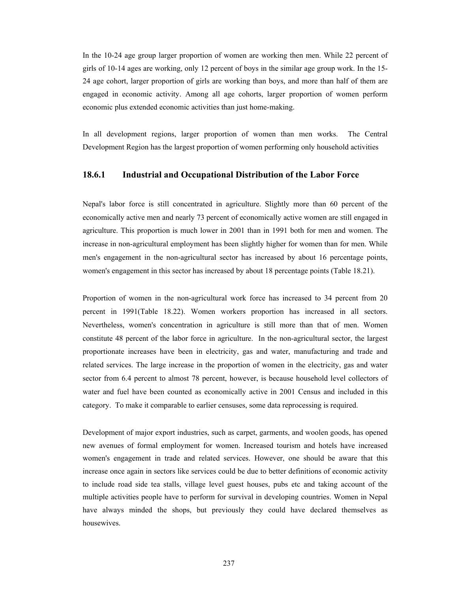In the 10-24 age group larger proportion of women are working then men. While 22 percent of girls of 10-14 ages are working, only 12 percent of boys in the similar age group work. In the 15- 24 age cohort, larger proportion of girls are working than boys, and more than half of them are engaged in economic activity. Among all age cohorts, larger proportion of women perform economic plus extended economic activities than just home-making.

In all development regions, larger proportion of women than men works. The Central Development Region has the largest proportion of women performing only household activities

#### **18.6.1 Industrial and Occupational Distribution of the Labor Force**

Nepal's labor force is still concentrated in agriculture. Slightly more than 60 percent of the economically active men and nearly 73 percent of economically active women are still engaged in agriculture. This proportion is much lower in 2001 than in 1991 both for men and women. The increase in non-agricultural employment has been slightly higher for women than for men. While men's engagement in the non-agricultural sector has increased by about 16 percentage points, women's engagement in this sector has increased by about 18 percentage points (Table 18.21).

Proportion of women in the non-agricultural work force has increased to 34 percent from 20 percent in 1991(Table 18.22). Women workers proportion has increased in all sectors. Nevertheless, women's concentration in agriculture is still more than that of men. Women constitute 48 percent of the labor force in agriculture. In the non-agricultural sector, the largest proportionate increases have been in electricity, gas and water, manufacturing and trade and related services. The large increase in the proportion of women in the electricity, gas and water sector from 6.4 percent to almost 78 percent, however, is because household level collectors of water and fuel have been counted as economically active in 2001 Census and included in this category. To make it comparable to earlier censuses, some data reprocessing is required.

Development of major export industries, such as carpet, garments, and woolen goods, has opened new avenues of formal employment for women. Increased tourism and hotels have increased women's engagement in trade and related services. However, one should be aware that this increase once again in sectors like services could be due to better definitions of economic activity to include road side tea stalls, village level guest houses, pubs etc and taking account of the multiple activities people have to perform for survival in developing countries. Women in Nepal have always minded the shops, but previously they could have declared themselves as housewives.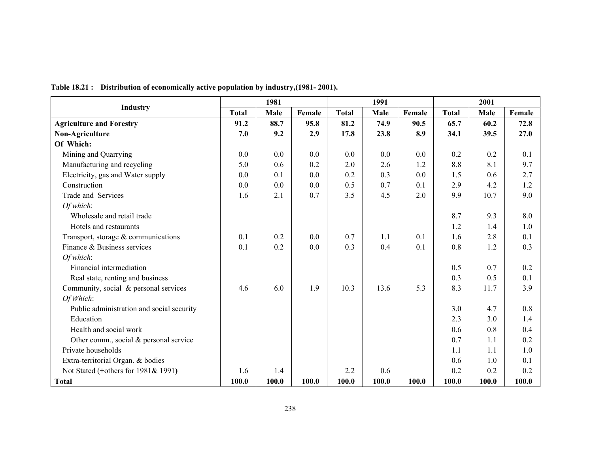|                                           |              | 1981  |        |              | 1991  |        | 2001         |       |        |
|-------------------------------------------|--------------|-------|--------|--------------|-------|--------|--------------|-------|--------|
| <b>Industry</b>                           | <b>Total</b> | Male  | Female | <b>Total</b> | Male  | Female | <b>Total</b> | Male  | Female |
| <b>Agriculture and Forestry</b>           | 91.2         | 88.7  | 95.8   | 81.2         | 74.9  | 90.5   | 65.7         | 60.2  | 72.8   |
| Non-Agriculture                           | 7.0          | 9.2   | 2.9    | 17.8         | 23.8  | 8.9    | 34.1         | 39.5  | 27.0   |
| Of Which:                                 |              |       |        |              |       |        |              |       |        |
| Mining and Quarrying                      | 0.0          | 0.0   | 0.0    | 0.0          | 0.0   | 0.0    | 0.2          | 0.2   | 0.1    |
| Manufacturing and recycling               | 5.0          | 0.6   | 0.2    | 2.0          | 2.6   | 1.2    | 8.8          | 8.1   | 9.7    |
| Electricity, gas and Water supply         | 0.0          | 0.1   | 0.0    | 0.2          | 0.3   | 0.0    | 1.5          | 0.6   | 2.7    |
| Construction                              | 0.0          | 0.0   | 0.0    | 0.5          | 0.7   | 0.1    | 2.9          | 4.2   | 1.2    |
| Trade and Services                        | 1.6          | 2.1   | 0.7    | 3.5          | 4.5   | 2.0    | 9.9          | 10.7  | 9.0    |
| Of which:                                 |              |       |        |              |       |        |              |       |        |
| Wholesale and retail trade                |              |       |        |              |       |        | 8.7          | 9.3   | 8.0    |
| Hotels and restaurants                    |              |       |        |              |       |        | 1.2          | 1.4   | 1.0    |
| Transport, storage $&$ communications     | 0.1          | 0.2   | 0.0    | 0.7          | 1.1   | 0.1    | 1.6          | 2.8   | 0.1    |
| Finance & Business services               | 0.1          | 0.2   | 0.0    | 0.3          | 0.4   | 0.1    | 0.8          | 1.2   | 0.3    |
| Of which:                                 |              |       |        |              |       |        |              |       |        |
| Financial intermediation                  |              |       |        |              |       |        | 0.5          | 0.7   | 0.2    |
| Real state, renting and business          |              |       |        |              |       |        | 0.3          | 0.5   | 0.1    |
| Community, social & personal services     | 4.6          | 6.0   | 1.9    | 10.3         | 13.6  | 5.3    | 8.3          | 11.7  | 3.9    |
| Of Which:                                 |              |       |        |              |       |        |              |       |        |
| Public administration and social security |              |       |        |              |       |        | 3.0          | 4.7   | 0.8    |
| Education                                 |              |       |        |              |       |        | 2.3          | 3.0   | 1.4    |
| Health and social work                    |              |       |        |              |       |        | 0.6          | 0.8   | 0.4    |
| Other comm., social $&$ personal service  |              |       |        |              |       |        | 0.7          | 1.1   | 0.2    |
| Private households                        |              |       |        |              |       |        | 1.1          | 1.1   | 1.0    |
| Extra-territorial Organ. & bodies         |              |       |        |              |       |        | 0.6          | 1.0   | 0.1    |
| Not Stated (+others for 1981& 1991)       | 1.6          | 1.4   |        | 2.2          | 0.6   |        | 0.2          | 0.2   | 0.2    |
| <b>Total</b>                              | 100.0        | 100.0 | 100.0  | 100.0        | 100.0 | 100.0  | 100.0        | 100.0 | 100.0  |

**Table 18.21 : Distribution of economically active population by industry,(1981- 2001).**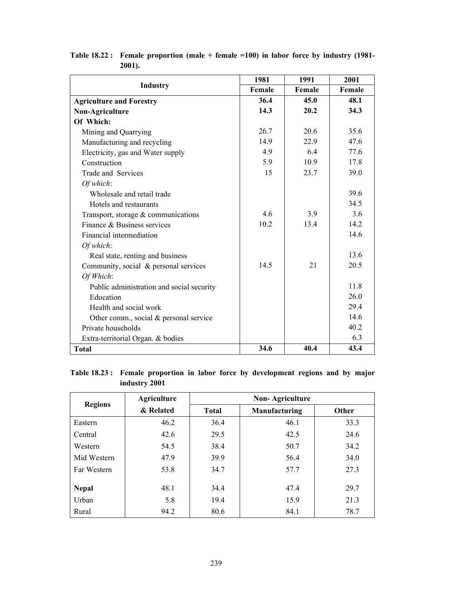|                                           | 1981   | 1991   | 2001   |
|-------------------------------------------|--------|--------|--------|
| <b>Industry</b>                           | Female | Female | Female |
| <b>Agriculture and Forestry</b>           | 36.4   | 45.0   | 48.1   |
| Non-Agriculture                           | 14.3   | 20.2   | 34.3   |
| Of Which:                                 |        |        |        |
| Mining and Quarrying                      | 26.7   | 20.6   | 35.6   |
| Manufacturing and recycling               | 14.9   | 22.9   | 47.6   |
| Electricity, gas and Water supply         | 4.9    | 6.4    | 77.6   |
| Construction                              | 5.9    | 10.9   | 17.8   |
| Trade and Services                        | 15     | 23.7   | 39.0   |
| Of which:                                 |        |        |        |
| Wholesale and retail trade                |        |        | 39.6   |
| Hotels and restaurants                    |        |        | 34.5   |
| Transport, storage & communications       | 4.6    | 3.9    | 3.6    |
| Finance & Business services               | 10.2   | 13.4   | 14.2   |
| Financial intermediation                  |        |        | 14.6   |
| Of which:                                 |        |        |        |
| Real state, renting and business          |        |        | 13.6   |
| Community, social & personal services     | 14.5   | 21     | 20.5   |
| Of Which:                                 |        |        |        |
| Public administration and social security |        |        | 11.8   |
| Education                                 |        |        | 26.0   |
| Health and social work                    |        |        | 29.4   |
| Other comm., social $&$ personal service  |        |        | 14.6   |
| Private households                        |        |        | 40.2   |
| Extra-territorial Organ. & bodies         |        |        | 6.3    |
| <b>Total</b>                              | 34.6   | 40.4   | 43.4   |

**Table 18.22 : Female proportion (male + female =100) in labor force by industry (1981- 2001).** 

# **Table 18.23 : Female proportion in labor force by development regions and by major industry 2001**

|                | <b>Agriculture</b> | <b>Non-Agriculture</b> |               |       |  |  |  |  |
|----------------|--------------------|------------------------|---------------|-------|--|--|--|--|
| <b>Regions</b> | & Related          | <b>Total</b>           | Manufacturing | Other |  |  |  |  |
| Eastern        | 46.2               | 36.4                   | 46.1          | 33.3  |  |  |  |  |
| Central        | 42.6               | 29.5                   | 42.5          | 24.6  |  |  |  |  |
| Western        | 54.5               | 38.4                   | 50.7          | 34.2  |  |  |  |  |
| Mid Western    | 47.9               | 39.9                   | 56.4          | 34.0  |  |  |  |  |
| Far Western    | 53.8               | 34.7                   | 57.7          | 27.3  |  |  |  |  |
|                |                    |                        |               |       |  |  |  |  |
| <b>Nepal</b>   | 48.1               | 34.4                   | 47.4          | 29.7  |  |  |  |  |
| Urban          | 5.8                | 19.4                   | 15.9          | 21.3  |  |  |  |  |
| Rural          | 94.2               | 80.6                   | 84.1          | 78.7  |  |  |  |  |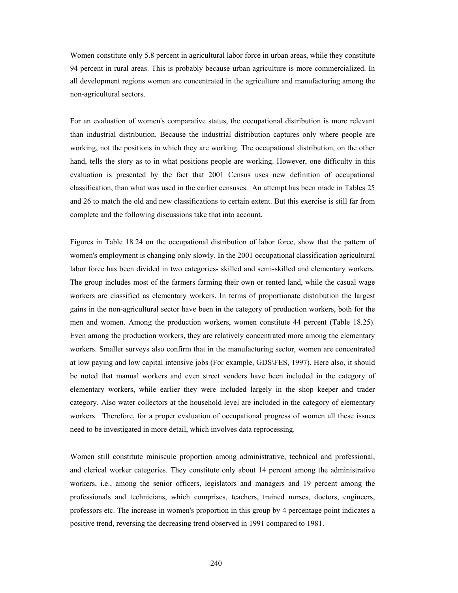Women constitute only 5.8 percent in agricultural labor force in urban areas, while they constitute 94 percent in rural areas. This is probably because urban agriculture is more commercialized. In all development regions women are concentrated in the agriculture and manufacturing among the non-agricultural sectors.

For an evaluation of women's comparative status, the occupational distribution is more relevant than industrial distribution. Because the industrial distribution captures only where people are working, not the positions in which they are working. The occupational distribution, on the other hand, tells the story as to in what positions people are working. However, one difficulty in this evaluation is presented by the fact that 2001 Census uses new definition of occupational classification, than what was used in the earlier censuses. An attempt has been made in Tables 25 and 26 to match the old and new classifications to certain extent. But this exercise is still far from complete and the following discussions take that into account.

Figures in Table 18.24 on the occupational distribution of labor force, show that the pattern of women's employment is changing only slowly. In the 2001 occupational classification agricultural labor force has been divided in two categories- skilled and semi-skilled and elementary workers. The group includes most of the farmers farming their own or rented land, while the casual wage workers are classified as elementary workers. In terms of proportionate distribution the largest gains in the non-agricultural sector have been in the category of production workers, both for the men and women. Among the production workers, women constitute 44 percent (Table 18.25). Even among the production workers, they are relatively concentrated more among the elementary workers. Smaller surveys also confirm that in the manufacturing sector, women are concentrated at low paying and low capital intensive jobs (For example, GDS\FES, 1997). Here also, it should be noted that manual workers and even street venders have been included in the category of elementary workers, while earlier they were included largely in the shop keeper and trader category. Also water collectors at the household level are included in the category of elementary workers. Therefore, for a proper evaluation of occupational progress of women all these issues need to be investigated in more detail, which involves data reprocessing.

Women still constitute miniscule proportion among administrative, technical and professional, and clerical worker categories. They constitute only about 14 percent among the administrative workers, i.e., among the senior officers, legislators and managers and 19 percent among the professionals and technicians, which comprises, teachers, trained nurses, doctors, engineers, professors etc. The increase in women's proportion in this group by 4 percentage point indicates a positive trend, reversing the decreasing trend observed in 1991 compared to 1981.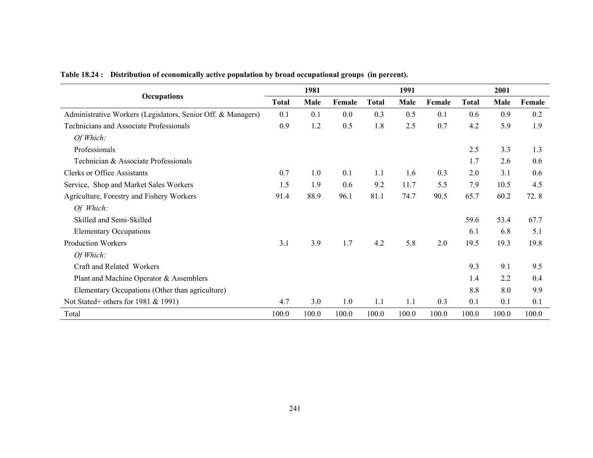|                                                              | 1981         |       |        |              | 1991  |        |              | 2001  |        |  |
|--------------------------------------------------------------|--------------|-------|--------|--------------|-------|--------|--------------|-------|--------|--|
| Occupations                                                  | <b>Total</b> | Male  | Female | <b>Total</b> | Male  | Female | <b>Total</b> | Male  | Female |  |
| Administrative Workers (Legislators, Senior Off. & Managers) | 0.1          | 0.1   | 0.0    | 0.3          | 0.5   | 0.1    | 0.6          | 0.9   | 0.2    |  |
| <b>Technicians and Associate Professionals</b>               | 0.9          | 1.2   | 0.5    | 1.8          | 2.5   | 0.7    | 4.2          | 5.9   | 1.9    |  |
| Of Which:                                                    |              |       |        |              |       |        |              |       |        |  |
| Professionals                                                |              |       |        |              |       |        | 2.5          | 3.3   | 1.3    |  |
| Technician & Associate Professionals                         |              |       |        |              |       |        | 1.7          | 2.6   | 0.6    |  |
| <b>Clerks or Office Assistants</b>                           | 0.7          | 1.0   | 0.1    | 1.1          | 1.6   | 0.3    | 2.0          | 3.1   | 0.6    |  |
| Service, Shop and Market Sales Workers                       | 1.5          | 1.9   | 0.6    | 9.2          | 11.7  | 5.5    | 7.9          | 10.5  | 4.5    |  |
| Agriculture, Forestry and Fishery Workers                    | 91.4         | 88.9  | 96.1   | 81.1         | 74.7  | 90.5   | 65.7         | 60.2  | 72.8   |  |
| Of Which:                                                    |              |       |        |              |       |        |              |       |        |  |
| Skilled and Semi-Skilled                                     |              |       |        |              |       |        | 59.6         | 53.4  | 67.7   |  |
| <b>Elementary Occupations</b>                                |              |       |        |              |       |        | 6.1          | 6.8   | 5.1    |  |
| <b>Production Workers</b>                                    | 3.1          | 3.9   | 1.7    | 4.2          | 5.8   | 2.0    | 19.5         | 19.3  | 19.8   |  |
| Of Which:                                                    |              |       |        |              |       |        |              |       |        |  |
| Craft and Related Workers                                    |              |       |        |              |       |        | 9.3          | 9.1   | 9.5    |  |
| Plant and Machine Operator & Assemblers                      |              |       |        |              |       |        | 1.4          | 2.2   | 0.4    |  |
| Elementary Occupations (Other than agriculture)              |              |       |        |              |       |        | 8.8          | 8.0   | 9.9    |  |
| Not Stated+ others for 1981 $&$ 1991)                        | 4.7          | 3.0   | 1.0    | 1.1          | 1.1   | 0.3    | 0.1          | 0.1   | 0.1    |  |
| Total                                                        | 100.0        | 100.0 | 100.0  | 100.0        | 100.0 | 100.0  | 100.0        | 100.0 | 100.0  |  |

**Table 18.24 : Distribution of economically active population by broad occupational groups (in percent).**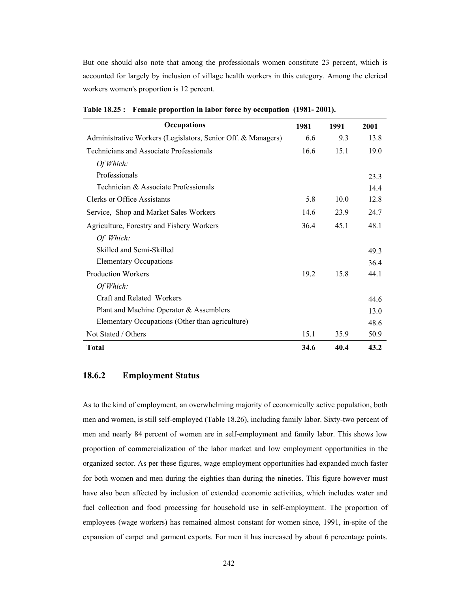But one should also note that among the professionals women constitute 23 percent, which is accounted for largely by inclusion of village health workers in this category. Among the clerical workers women's proportion is 12 percent.

| <b>Occupations</b>                                           | 1981 | 1991 | 2001 |
|--------------------------------------------------------------|------|------|------|
| Administrative Workers (Legislators, Senior Off. & Managers) | 6.6  | 9.3  | 13.8 |
| <b>Technicians and Associate Professionals</b>               | 16.6 | 15.1 | 19.0 |
| Of Which:                                                    |      |      |      |
| Professionals                                                |      |      | 23.3 |
| Technician & Associate Professionals                         |      |      | 14.4 |
| Clerks or Office Assistants                                  | 5.8  | 10.0 | 12.8 |
| Service, Shop and Market Sales Workers                       | 14.6 | 23.9 | 24.7 |
| Agriculture, Forestry and Fishery Workers                    | 36.4 | 45.1 | 48.1 |
| Of Which:                                                    |      |      |      |
| Skilled and Semi-Skilled                                     |      |      | 49.3 |
| <b>Elementary Occupations</b>                                |      |      | 36.4 |
| <b>Production Workers</b>                                    | 19.2 | 15.8 | 44.1 |
| Of Which:                                                    |      |      |      |
| Craft and Related Workers                                    |      |      | 44.6 |
| Plant and Machine Operator & Assemblers                      |      |      | 13.0 |
| Elementary Occupations (Other than agriculture)              |      |      | 48.6 |
| Not Stated / Others                                          | 15.1 | 35.9 | 50.9 |
| Total                                                        | 34.6 | 40.4 | 43.2 |

**Table 18.25 : Female proportion in labor force by occupation (1981- 2001).** 

## **18.6.2 Employment Status**

As to the kind of employment, an overwhelming majority of economically active population, both men and women, is still self-employed (Table 18.26), including family labor. Sixty-two percent of men and nearly 84 percent of women are in self-employment and family labor. This shows low proportion of commercialization of the labor market and low employment opportunities in the organized sector. As per these figures, wage employment opportunities had expanded much faster for both women and men during the eighties than during the nineties. This figure however must have also been affected by inclusion of extended economic activities, which includes water and fuel collection and food processing for household use in self-employment. The proportion of employees (wage workers) has remained almost constant for women since, 1991, in-spite of the expansion of carpet and garment exports. For men it has increased by about 6 percentage points.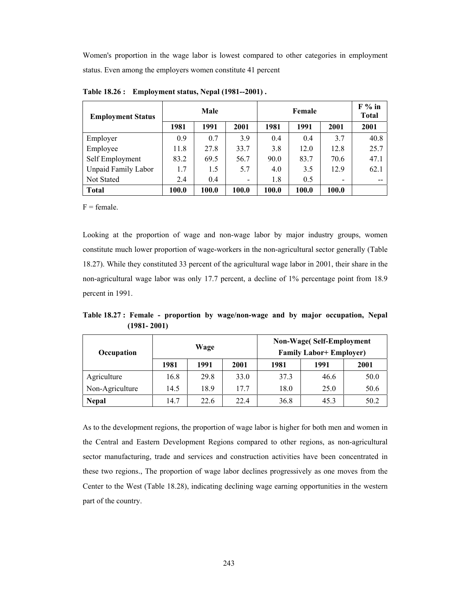Women's proportion in the wage labor is lowest compared to other categories in employment status. Even among the employers women constitute 41 percent

| <b>Employment Status</b>   | Male  |       |       |       | $F%$ in<br>Total |       |      |
|----------------------------|-------|-------|-------|-------|------------------|-------|------|
|                            | 1981  | 1991  | 2001  | 1981  | 1991             | 2001  | 2001 |
| Employer                   | 0.9   | 0.7   | 3.9   | 0.4   | 0.4              | 3.7   | 40.8 |
| Employee                   | 11.8  | 27.8  | 33.7  | 3.8   | 12.0             | 12.8  | 25.7 |
| Self Employment            | 83.2  | 69.5  | 56.7  | 90.0  | 83.7             | 70.6  | 47.1 |
| <b>Unpaid Family Labor</b> | 1.7   | 1.5   | 5.7   | 4.0   | 3.5              | 12.9  | 62.1 |
| Not Stated                 | 2.4   | 0.4   | -     | 1.8   | 0.5              | -     |      |
| <b>Total</b>               | 100.0 | 100.0 | 100.0 | 100.0 | 100.0            | 100.0 |      |

**Table 18.26 : Employment status, Nepal (1981--2001) .** 

 $F = female$ .

Looking at the proportion of wage and non-wage labor by major industry groups, women constitute much lower proportion of wage-workers in the non-agricultural sector generally (Table 18.27). While they constituted 33 percent of the agricultural wage labor in 2001, their share in the non-agricultural wage labor was only 17.7 percent, a decline of 1% percentage point from 18.9 percent in 1991.

**Table 18.27 : Female - proportion by wage/non-wage and by major occupation, Nepal (1981- 2001)** 

| Occupation      | Wage |      |      |      | <b>Non-Wage</b> (Self-Employment<br><b>Family Labor+ Employer)</b> |      |
|-----------------|------|------|------|------|--------------------------------------------------------------------|------|
|                 | 1981 | 1991 | 2001 | 1981 | 1991                                                               | 2001 |
| Agriculture     | 16.8 | 29.8 | 33.0 | 37.3 | 46.6                                                               | 50.0 |
| Non-Agriculture | 14.5 | 18.9 | 17.7 | 18.0 | 25.0                                                               | 50.6 |
| <b>Nepal</b>    | 14.7 | 22.6 | 22.4 | 36.8 | 45.3                                                               | 50.2 |

As to the development regions, the proportion of wage labor is higher for both men and women in the Central and Eastern Development Regions compared to other regions, as non-agricultural sector manufacturing, trade and services and construction activities have been concentrated in these two regions., The proportion of wage labor declines progressively as one moves from the Center to the West (Table 18.28), indicating declining wage earning opportunities in the western part of the country.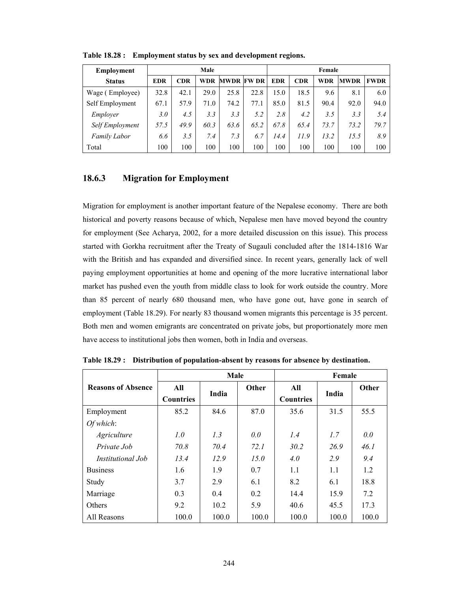| <b>Employment</b>   | Male            |            |      |                   | Female |            |            |      |             |             |
|---------------------|-----------------|------------|------|-------------------|--------|------------|------------|------|-------------|-------------|
| <b>Status</b>       | <b>EDR</b>      | <b>CDR</b> | WDR  | <b>MWDR FW DR</b> |        | <b>EDR</b> | <b>CDR</b> | WDR  | <b>MWDR</b> | <b>FWDR</b> |
| Wage (Employee)     | 32.8            | 42.1       | 29.0 | 25.8              | 22.8   | 15.0       | 18.5       | 9.6  | 8.1         | 6.0         |
| Self Employment     | 67.1            | 57.9       | 71.0 | 74.2              | 77.1   | 85.0       | 81.5       | 90.4 | 92.0        | 94.0        |
| Employer            | 3.0             | 4.5        | 3.3  | 3.3               | 5.2    | 2.8        | 4.2        | 3.5  | 3.3         | 5.4         |
| Self Employment     | 57.5            | 49.9       | 60.3 | 63.6              | 65.2   | 67.8       | 65.4       | 73.7 | 73.2        | 79.7        |
| <b>Family Labor</b> | 6.6             | 3.5        | 7.4  | 7.3               | 6.7    | 14.4       | 11.9       | 13.2 | 15.5        | 8.9         |
| Total               | 00 <sub>1</sub> | 100        | 100  | 100               | 100    | 100        | 100        | 100  | 100         | 100         |

**Table 18.28 : Employment status by sex and development regions.** 

## **18.6.3 Migration for Employment**

Migration for employment is another important feature of the Nepalese economy. There are both historical and poverty reasons because of which, Nepalese men have moved beyond the country for employment (See Acharya, 2002, for a more detailed discussion on this issue). This process started with Gorkha recruitment after the Treaty of Sugauli concluded after the 1814-1816 War with the British and has expanded and diversified since. In recent years, generally lack of well paying employment opportunities at home and opening of the more lucrative international labor market has pushed even the youth from middle class to look for work outside the country. More than 85 percent of nearly 680 thousand men, who have gone out, have gone in search of employment (Table 18.29). For nearly 83 thousand women migrants this percentage is 35 percent. Both men and women emigrants are concentrated on private jobs, but proportionately more men have access to institutional jobs then women, both in India and overseas.

|                           |                         | Male  |       |                         | Female |       |
|---------------------------|-------------------------|-------|-------|-------------------------|--------|-------|
| <b>Reasons of Absence</b> | All<br><b>Countries</b> | India | Other | All<br><b>Countries</b> | India  | Other |
| Employment                | 85.2                    | 84.6  | 87.0  | 35.6                    | 31.5   | 55.5  |
| Of which:                 |                         |       |       |                         |        |       |
| Agriculture               | 1.0                     | 1.3   | 0.0   | 1.4                     | 1.7    | 0.0   |
| Private Job               | 70.8                    | 70.4  | 72.1  | 30.2                    | 26.9   | 46. I |
| <i>Institutional Job</i>  | 13.4                    | 12.9  | 15.0  | 4.0                     | 2.9    | 9.4   |
| <b>Business</b>           | 1.6                     | 1.9   | 0.7   | 1.1                     | 1.1    | 1.2   |
| Study                     | 3.7                     | 2.9   | 6.1   | 8.2                     | 6.1    | 18.8  |
| Marriage                  | 0.3                     | 0.4   | 0.2   | 14.4                    | 15.9   | 7.2   |
| Others                    | 9.2                     | 10.2  | 5.9   | 40.6                    | 45.5   | 17.3  |
| All Reasons               | 100.0                   | 100.0 | 100.0 | 100.0                   | 100.0  | 100.0 |

**Table 18.29 : Distribution of population-absent by reasons for absence by destination.**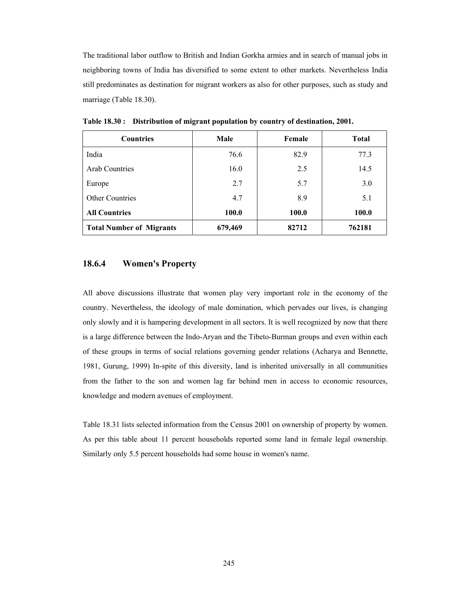The traditional labor outflow to British and Indian Gorkha armies and in search of manual jobs in neighboring towns of India has diversified to some extent to other markets. Nevertheless India still predominates as destination for migrant workers as also for other purposes, such as study and marriage (Table 18.30).

| <b>Countries</b>                | Male    | Female | <b>Total</b> |
|---------------------------------|---------|--------|--------------|
| India                           | 76.6    | 82.9   | 77.3         |
| <b>Arab Countries</b>           | 16.0    | 2.5    | 14.5         |
| Europe                          | 2.7     | 5.7    | 3.0          |
| <b>Other Countries</b>          | 4.7     | 8.9    | 5.1          |
| <b>All Countries</b>            | 100.0   | 100.0  | 100.0        |
| <b>Total Number of Migrants</b> | 679,469 | 82712  | 762181       |

**Table 18.30 : Distribution of migrant population by country of destination, 2001.** 

### **18.6.4 Women's Property**

All above discussions illustrate that women play very important role in the economy of the country. Nevertheless, the ideology of male domination, which pervades our lives, is changing only slowly and it is hampering development in all sectors. It is well recognized by now that there is a large difference between the Indo-Aryan and the Tibeto-Burman groups and even within each of these groups in terms of social relations governing gender relations (Acharya and Bennette, 1981, Gurung, 1999) In-spite of this diversity, land is inherited universally in all communities from the father to the son and women lag far behind men in access to economic resources, knowledge and modern avenues of employment.

Table 18.31 lists selected information from the Census 2001 on ownership of property by women. As per this table about 11 percent households reported some land in female legal ownership. Similarly only 5.5 percent households had some house in women's name.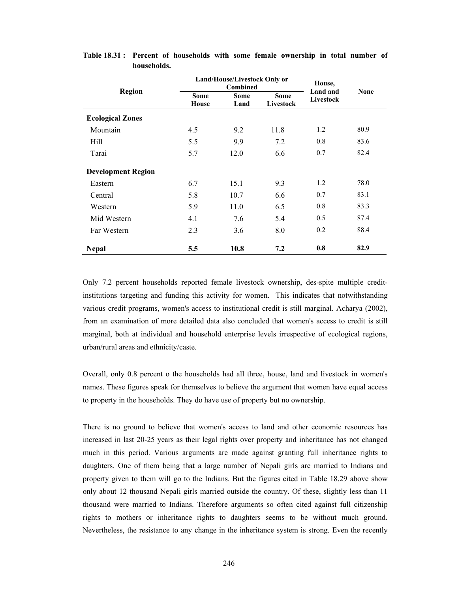|                           |                             | Land/House/Livestock Only or<br><b>Combined</b> | House,<br>Land and       | <b>None</b> |      |
|---------------------------|-----------------------------|-------------------------------------------------|--------------------------|-------------|------|
| <b>Region</b>             | <b>Some</b><br><b>House</b> | <b>Some</b><br>Land                             | <b>Some</b><br>Livestock | Livestock   |      |
| <b>Ecological Zones</b>   |                             |                                                 |                          |             |      |
| Mountain                  | 4.5                         | 9.2                                             | 11.8                     | 1.2         | 80.9 |
| Hill                      | 5.5                         | 9.9                                             | 7.2                      | 0.8         | 83.6 |
| Tarai                     | 5.7                         | 12.0                                            | 6.6                      | 0.7         | 82.4 |
| <b>Development Region</b> |                             |                                                 |                          |             |      |
| Eastern                   | 6.7                         | 15.1                                            | 9.3                      | 1.2         | 78.0 |
| Central                   | 5.8                         | 10.7                                            | 6.6                      | 0.7         | 83.1 |
| Western                   | 5.9                         | 11.0                                            | 6.5                      | 0.8         | 83.3 |
| Mid Western               | 4.1                         | 7.6                                             | 5.4                      | 0.5         | 87.4 |
| Far Western               | 2.3                         | 3.6                                             | 8.0                      | 0.2         | 88.4 |
| <b>Nepal</b>              | 5.5                         | 10.8                                            | 7.2                      | 0.8         | 82.9 |

**Table 18.31 : Percent of households with some female ownership in total number of households.** 

Only 7.2 percent households reported female livestock ownership, des-spite multiple creditinstitutions targeting and funding this activity for women. This indicates that notwithstanding various credit programs, women's access to institutional credit is still marginal. Acharya (2002), from an examination of more detailed data also concluded that women's access to credit is still marginal, both at individual and household enterprise levels irrespective of ecological regions, urban/rural areas and ethnicity/caste.

Overall, only 0.8 percent o the households had all three, house, land and livestock in women's names. These figures speak for themselves to believe the argument that women have equal access to property in the households. They do have use of property but no ownership.

There is no ground to believe that women's access to land and other economic resources has increased in last 20-25 years as their legal rights over property and inheritance has not changed much in this period. Various arguments are made against granting full inheritance rights to daughters. One of them being that a large number of Nepali girls are married to Indians and property given to them will go to the Indians. But the figures cited in Table 18.29 above show only about 12 thousand Nepali girls married outside the country. Of these, slightly less than 11 thousand were married to Indians. Therefore arguments so often cited against full citizenship rights to mothers or inheritance rights to daughters seems to be without much ground. Nevertheless, the resistance to any change in the inheritance system is strong. Even the recently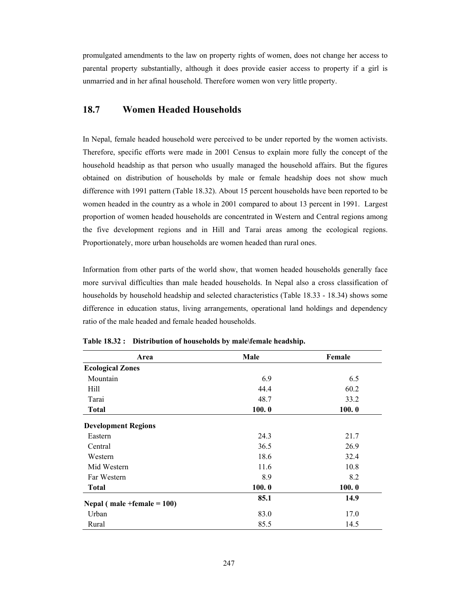promulgated amendments to the law on property rights of women, does not change her access to parental property substantially, although it does provide easier access to property if a girl is unmarried and in her afinal household. Therefore women won very little property.

# **18.7 Women Headed Households**

In Nepal, female headed household were perceived to be under reported by the women activists. Therefore, specific efforts were made in 2001 Census to explain more fully the concept of the household headship as that person who usually managed the household affairs. But the figures obtained on distribution of households by male or female headship does not show much difference with 1991 pattern (Table 18.32). About 15 percent households have been reported to be women headed in the country as a whole in 2001 compared to about 13 percent in 1991. Largest proportion of women headed households are concentrated in Western and Central regions among the five development regions and in Hill and Tarai areas among the ecological regions. Proportionately, more urban households are women headed than rural ones.

Information from other parts of the world show, that women headed households generally face more survival difficulties than male headed households. In Nepal also a cross classification of households by household headship and selected characteristics (Table 18.33 - 18.34) shows some difference in education status, living arrangements, operational land holdings and dependency ratio of the male headed and female headed households.

| Area                            | Male  | Female |
|---------------------------------|-------|--------|
| <b>Ecological Zones</b>         |       |        |
| Mountain                        | 6.9   | 6.5    |
| Hill                            | 44.4  | 60.2   |
| Tarai                           | 48.7  | 33.2   |
| <b>Total</b>                    | 100.0 | 100.0  |
| <b>Development Regions</b>      |       |        |
| Eastern                         | 24.3  | 21.7   |
| Central                         | 36.5  | 26.9   |
| Western                         | 18.6  | 32.4   |
| Mid Western                     | 11.6  | 10.8   |
| Far Western                     | 8.9   | 8.2    |
| <b>Total</b>                    | 100.0 | 100.0  |
| Nepal ( $male + female = 100$ ) | 85.1  | 14.9   |
| Urban                           | 83.0  | 17.0   |
| Rural                           | 85.5  | 14.5   |

**Table 18.32 : Distribution of households by male\female headship.**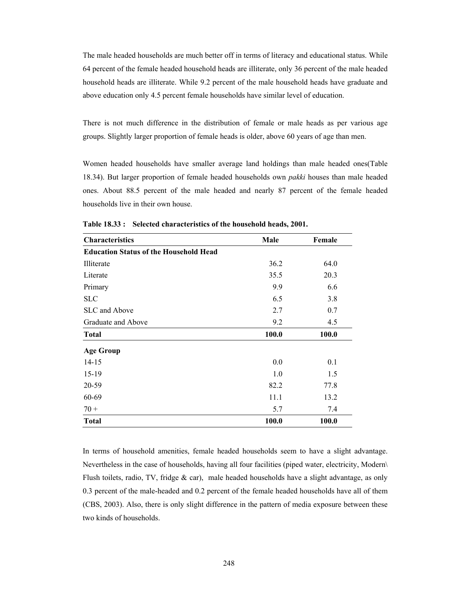The male headed households are much better off in terms of literacy and educational status. While 64 percent of the female headed household heads are illiterate, only 36 percent of the male headed household heads are illiterate. While 9.2 percent of the male household heads have graduate and above education only 4.5 percent female households have similar level of education.

There is not much difference in the distribution of female or male heads as per various age groups. Slightly larger proportion of female heads is older, above 60 years of age than men.

Women headed households have smaller average land holdings than male headed ones(Table 18.34). But larger proportion of female headed households own *pakki* houses than male headed ones. About 88.5 percent of the male headed and nearly 87 percent of the female headed households live in their own house.

| <b>Characteristics</b>                        | Male  | Female |
|-----------------------------------------------|-------|--------|
| <b>Education Status of the Household Head</b> |       |        |
| Illiterate                                    | 36.2  | 64.0   |
| Literate                                      | 35.5  | 20.3   |
| Primary                                       | 9.9   | 6.6    |
| <b>SLC</b>                                    | 6.5   | 3.8    |
| SLC and Above                                 | 2.7   | 0.7    |
| Graduate and Above                            | 9.2   | 4.5    |
| <b>Total</b>                                  | 100.0 | 100.0  |
| <b>Age Group</b>                              |       |        |
| $14 - 15$                                     | 0.0   | 0.1    |
| $15-19$                                       | 1.0   | 1.5    |
| 20-59                                         | 82.2  | 77.8   |
| 60-69                                         | 11.1  | 13.2   |
| $70 +$                                        | 5.7   | 7.4    |
| <b>Total</b>                                  | 100.0 | 100.0  |

**Table 18.33 : Selected characteristics of the household heads, 2001.** 

In terms of household amenities, female headed households seem to have a slight advantage. Nevertheless in the case of households, having all four facilities (piped water, electricity, Modern\ Flush toilets, radio, TV, fridge  $\&$  car), male headed households have a slight advantage, as only 0.3 percent of the male-headed and 0.2 percent of the female headed households have all of them (CBS, 2003). Also, there is only slight difference in the pattern of media exposure between these two kinds of households.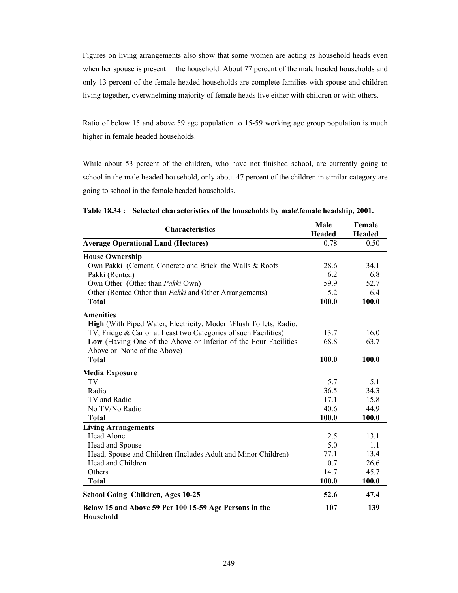Figures on living arrangements also show that some women are acting as household heads even when her spouse is present in the household. About 77 percent of the male headed households and only 13 percent of the female headed households are complete families with spouse and children living together, overwhelming majority of female heads live either with children or with others.

Ratio of below 15 and above 59 age population to 15-59 working age group population is much higher in female headed households.

While about 53 percent of the children, who have not finished school, are currently going to school in the male headed household, only about 47 percent of the children in similar category are going to school in the female headed households.

|                                                                            | Male          | Female        |
|----------------------------------------------------------------------------|---------------|---------------|
| <b>Characteristics</b>                                                     | <b>Headed</b> | <b>Headed</b> |
| <b>Average Operational Land (Hectares)</b>                                 | 0.78          | 0.50          |
| <b>House Ownership</b>                                                     |               |               |
| Own Pakki (Cement, Concrete and Brick the Walls & Roofs                    | 28.6          | 34.1          |
| Pakki (Rented)                                                             | 6.2           | 6.8           |
| Own Other (Other than Pakki Own)                                           | 59.9          | 52.7          |
| Other (Rented Other than Pakki and Other Arrangements)                     | 5.2           | 6.4           |
| <b>Total</b>                                                               | 100.0         | 100.0         |
| <b>Amenities</b>                                                           |               |               |
| High (With Piped Water, Electricity, Modern\Flush Toilets, Radio,          |               |               |
| TV, Fridge & Car or at Least two Categories of such Facilities)            | 13.7          | 16.0          |
| Low (Having One of the Above or Inferior of the Four Facilities            | 68.8          | 63.7          |
| Above or None of the Above)                                                |               |               |
| <b>Total</b>                                                               | 100.0         | 100.0         |
| <b>Media Exposure</b>                                                      |               |               |
| TV                                                                         | 5.7           | 5.1           |
| Radio                                                                      | 36.5          | 34.3          |
| TV and Radio                                                               | 17.1          | 15.8          |
| No TV/No Radio                                                             | 40.6          | 44.9          |
| <b>Total</b>                                                               | 100.0         | 100.0         |
| <b>Living Arrangements</b>                                                 |               |               |
| <b>Head Alone</b>                                                          | 2.5           | 13.1          |
| Head and Spouse                                                            | 5.0           | 1.1           |
| Head, Spouse and Children (Includes Adult and Minor Children)              | 77.1          | 13.4          |
| Head and Children                                                          | 0.7           | 26.6          |
| Others                                                                     | 14.7          | 45.7          |
| <b>Total</b>                                                               | 100.0         | 100.0         |
| <b>School Going Children, Ages 10-25</b>                                   | 52.6          | 47.4          |
| Below 15 and Above 59 Per 100 15-59 Age Persons in the<br><b>Household</b> | 107           | 139           |

**Table 18.34 : Selected characteristics of the households by male\female headship, 2001.**